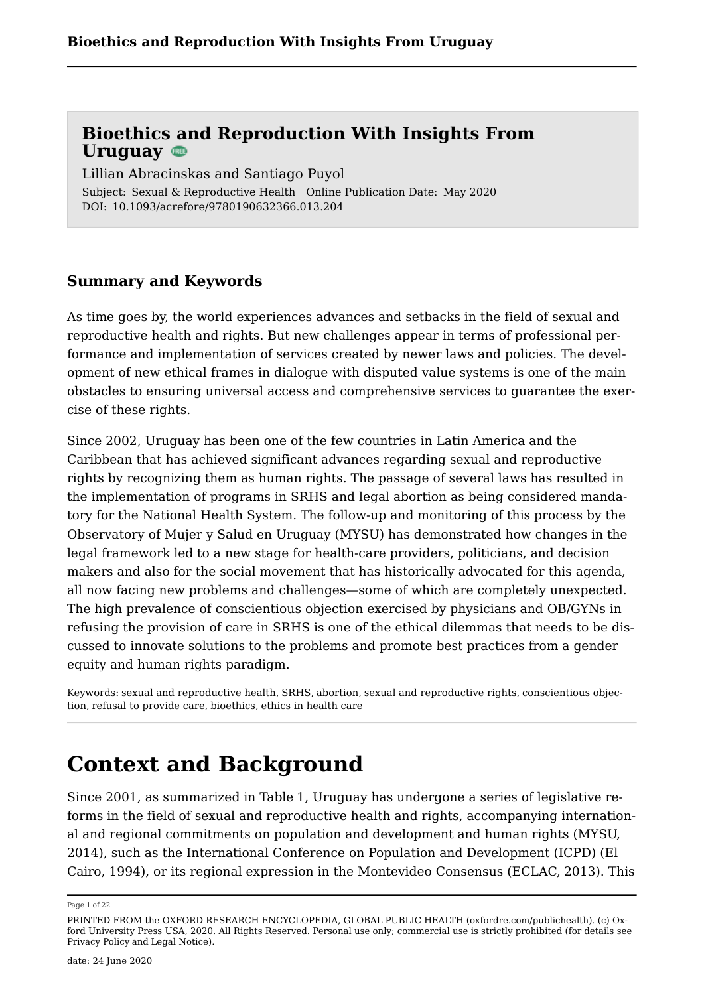Subject: Sexual & Reproductive Health Online Publication Date: May 2020 DOI: 10.1093/acrefore/9780190632366.013.204 Lillian Abracinskas and Santiago Puyol

### **Summary and Keywords**

As time goes by, the world experiences advances and setbacks in the field of sexual and reproductive health and rights. But new challenges appear in terms of professional performance and implementation of services created by newer laws and policies. The development of new ethical frames in dialogue with disputed value systems is one of the main obstacles to ensuring universal access and comprehensive services to guarantee the exercise of these rights.

Since 2002, Uruguay has been one of the few countries in Latin America and the Caribbean that has achieved significant advances regarding sexual and reproductive rights by recognizing them as human rights. The passage of several laws has resulted in the implementation of programs in SRHS and legal abortion as being considered mandatory for the National Health System. The follow-up and monitoring of this process by the Observatory of Mujer y Salud en Uruguay (MYSU) has demonstrated how changes in the legal framework led to a new stage for health-care providers, politicians, and decision makers and also for the social movement that has historically advocated for this agenda, all now facing new problems and challenges—some of which are completely unexpected. The high prevalence of conscientious objection exercised by physicians and OB/GYNs in refusing the provision of care in SRHS is one of the ethical dilemmas that needs to be discussed to innovate solutions to the problems and promote best practices from a gender equity and human rights paradigm.

Keywords: [sexual and reproductive health](https://oxfordre.com/search?f_0=keyword&q_0=sexual and reproductive health), [SRHS,](https://oxfordre.com/search?f_0=keyword&q_0=SRHS) [abortion](https://oxfordre.com/search?f_0=keyword&q_0=abortion), [sexual and reproductive rights](https://oxfordre.com/search?f_0=keyword&q_0=sexual and reproductive rights), [conscientious objec](https://oxfordre.com/search?f_0=keyword&q_0=conscientious objection)[tion,](https://oxfordre.com/search?f_0=keyword&q_0=conscientious objection) [refusal to provide care](https://oxfordre.com/search?f_0=keyword&q_0=refusal to provide care), [bioethics](https://oxfordre.com/search?f_0=keyword&q_0=bioethics), [ethics in health care](https://oxfordre.com/search?f_0=keyword&q_0=ethics in health care)

### **Context and Background**

Since 2001, as summarized in Table [1](#page-2-0), Uruguay has undergone a series of legislative reforms in the field of sexual and reproductive health and rights, accompanying international and regional commitments on population and development and human rights (MYSU, [2014](#page-18-0)), such as the International Conference on Population and Development (ICPD) (El Cairo, 1994), or its regional expression in the Montevideo Consensus (ECLAC, [2013\)](#page-17-0). This

Page 1 of 22

PRINTED FROM the OXFORD RESEARCH ENCYCLOPEDIA, GLOBAL PUBLIC HEALTH (oxfordre.com/publichealth). (c) Oxford University Press USA, 2020. All Rights Reserved. Personal use only; commercial use is strictly prohibited (for details see [Privacy Policy](https://global.oup.com/privacy) and [Legal Notice](https://oxfordre.com/page/legal-notice)).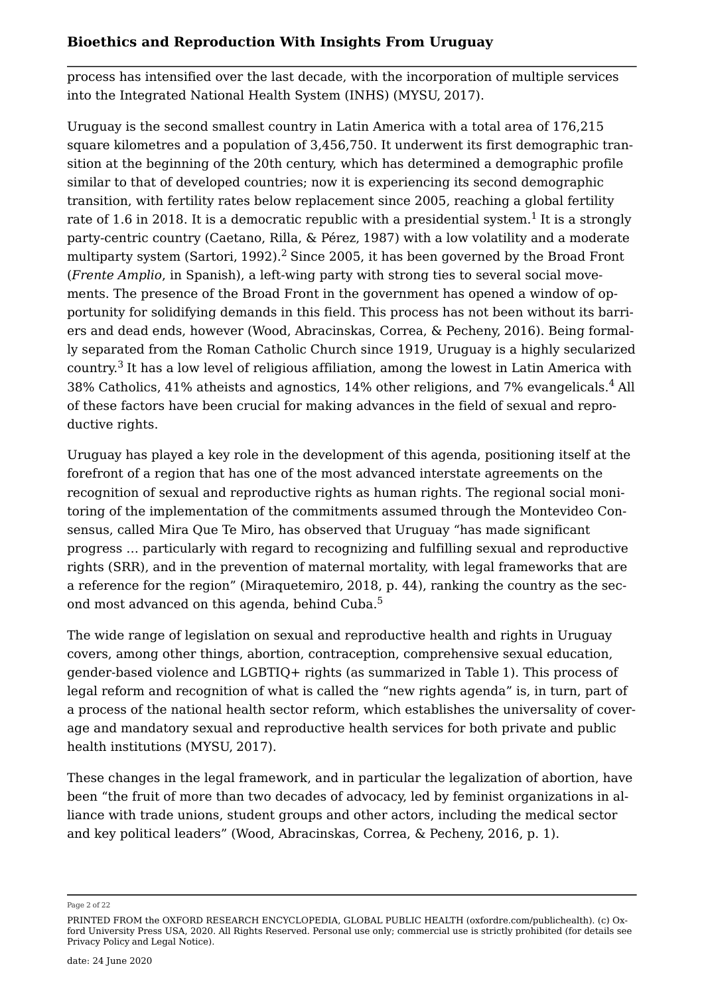process has intensified over the last decade, with the incorporation of multiple services into the Integrated National Health System (INHS) (MYSU, [2017](#page-18-1)).

<span id="page-1-1"></span><span id="page-1-0"></span>Uruguay is the second smallest country in Latin America with a total area of 176,215 square kilometres and a population of 3,456,750. It underwent its first demographic transition at the beginning of the 20th century, which has determined a demographic profile similar to that of developed countries; now it is experiencing its second demographic transition, with fertility rates below replacement since 2005, reaching a global fertility rate of [1](#page-19-0).6 in 2018. It is a democratic republic with a presidential system. $^{\rm 1}$  It is a strongly party-centric country (Caetano, Rilla, & Pérez, [1987\)](#page-17-1) with a low volatility and a moderate multiparty system (Sartori, [1992](#page-19-1)).<sup>[2](#page-20-0)</sup> Since 2005, it has been governed by the Broad Front (*Frente Amplio*, in Spanish), a left-wing party with strong ties to several social movements. The presence of the Broad Front in the government has opened a window of opportunity for solidifying demands in this field. This process has not been without its barriers and dead ends, however (Wood, Abracinskas, Correa, & Pecheny, [2016](#page-16-0)). Being formally separated from the Roman Catholic Church since 1919, Uruguay is a highly secularized country.<sup>[3](#page-20-1)</sup> It has a low level of religious affiliation, among the lowest in Latin America with 38% Catholics, 41% atheists and agnostics, 14% other religions, and 7% evangelicals.[4](#page-20-2) All of these factors have been crucial for making advances in the field of sexual and reproductive rights.

<span id="page-1-3"></span><span id="page-1-2"></span>Uruguay has played a key role in the development of this agenda, positioning itself at the forefront of a region that has one of the most advanced interstate agreements on the recognition of sexual and reproductive rights as human rights. The regional social monitoring of the implementation of the commitments assumed through the Montevideo Consensus, called Mira Que Te Miro, has observed that Uruguay "has made significant progress … particularly with regard to recognizing and fulfilling sexual and reproductive rights (SRR), and in the prevention of maternal mortality, with legal frameworks that are a reference for the region" (Miraquetemiro, [2018](#page-18-2), p. 44), ranking the country as the sec-ond most advanced on this agenda, behind Cuba.<sup>[5](#page-20-3)</sup>

<span id="page-1-4"></span>The wide range of legislation on sexual and reproductive health and rights in Uruguay covers, among other things, abortion, contraception, comprehensive sexual education, gender-based violence and LGBTIQ+ rights (as summarized in Table [1\)](#page-2-0). This process of legal reform and recognition of what is called the "new rights agenda" is, in turn, part of a process of the national health sector reform, which establishes the universality of coverage and mandatory sexual and reproductive health services for both private and public health institutions (MYSU, [2017\)](#page-18-1).

These changes in the legal framework, and in particular the legalization of abortion, have been "the fruit of more than two decades of advocacy, led by feminist organizations in alliance with trade unions, student groups and other actors, including the medical sector and key political leaders" (Wood, Abracinskas, Correa, & Pecheny, [2016](#page-16-0), p. 1).

Page 2 of 22

PRINTED FROM the OXFORD RESEARCH ENCYCLOPEDIA, GLOBAL PUBLIC HEALTH (oxfordre.com/publichealth). (c) Oxford University Press USA, 2020. All Rights Reserved. Personal use only; commercial use is strictly prohibited (for details see [Privacy Policy](https://global.oup.com/privacy) and [Legal Notice](https://oxfordre.com/page/legal-notice)).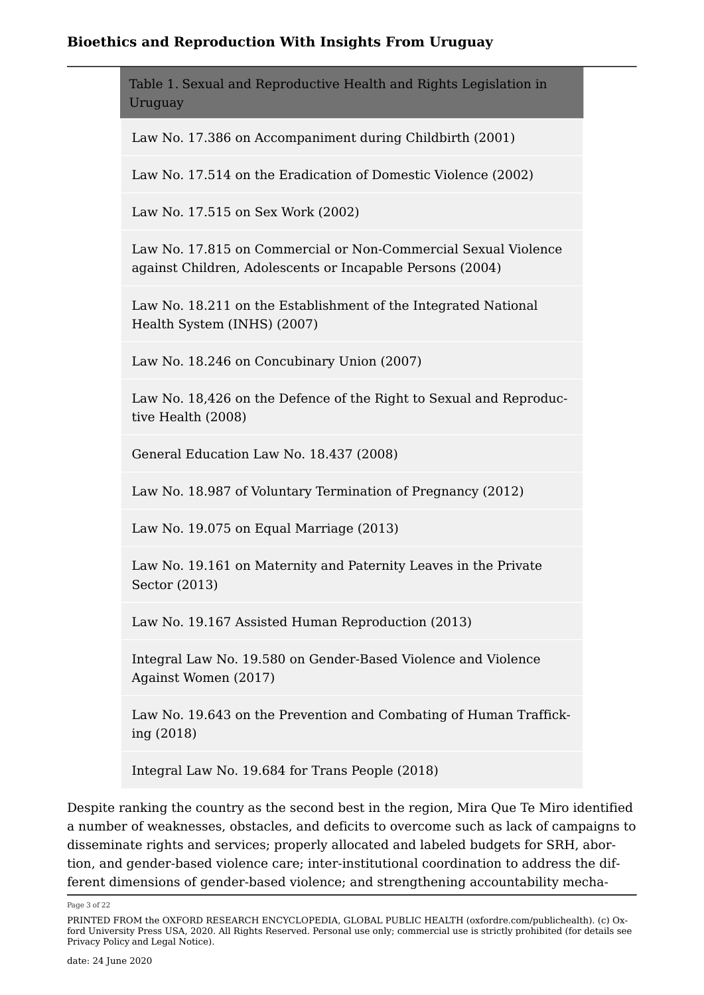<span id="page-2-0"></span>Table 1. Sexual and Reproductive Health and Rights Legislation in Uruguay

Law No. 17.386 on Accompaniment during Childbirth (2001)

Law No. 17.514 on the Eradication of Domestic Violence (2002)

Law No. 17.515 on Sex Work (2002)

Law No. 17.815 on Commercial or Non-Commercial Sexual Violence against Children, Adolescents or Incapable Persons (2004)

Law No. 18.211 on the Establishment of the Integrated National Health System (INHS) (2007)

Law No. 18.246 on Concubinary Union (2007)

Law No. 18,426 on the Defence of the Right to Sexual and Reproductive Health (2008)

General Education Law No. 18.437 (2008)

Law No. 18.987 of Voluntary Termination of Pregnancy (2012)

Law No. 19.075 on Equal Marriage (2013)

Law No. 19.161 on Maternity and Paternity Leaves in the Private Sector (2013)

Law No. 19.167 Assisted Human Reproduction (2013)

Integral Law No. 19.580 on Gender-Based Violence and Violence Against Women (2017)

Law No. 19.643 on the Prevention and Combating of Human Trafficking (2018)

Integral Law No. 19.684 for Trans People (2018)

Despite ranking the country as the second best in the region, Mira Que Te Miro identified a number of weaknesses, obstacles, and deficits to overcome such as lack of campaigns to disseminate rights and services; properly allocated and labeled budgets for SRH, abortion, and gender-based violence care; inter-institutional coordination to address the different dimensions of gender-based violence; and strengthening accountability mecha

Page 3 of 22

PRINTED FROM the OXFORD RESEARCH ENCYCLOPEDIA, GLOBAL PUBLIC HEALTH (oxfordre.com/publichealth). (c) Oxford University Press USA, 2020. All Rights Reserved. Personal use only; commercial use is strictly prohibited (for details see [Privacy Policy](https://global.oup.com/privacy) and [Legal Notice](https://oxfordre.com/page/legal-notice)).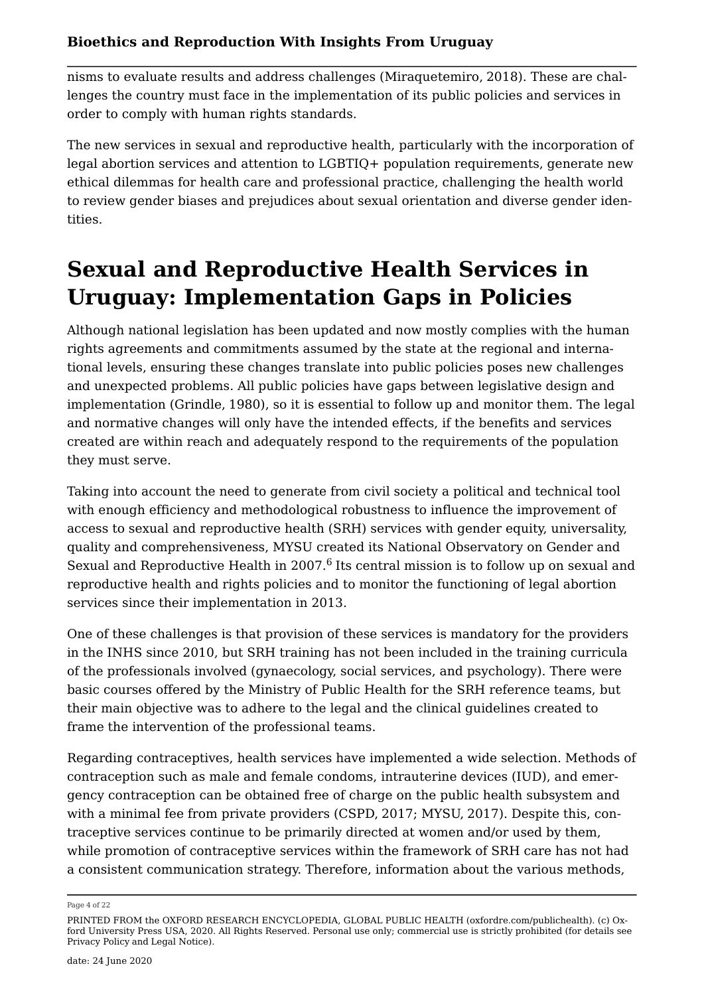nisms to evaluate results and address challenges (Miraquetemiro, [2018](#page-18-2)). These are challenges the country must face in the implementation of its public policies and services in order to comply with human rights standards.

The new services in sexual and reproductive health, particularly with the incorporation of legal abortion services and attention to LGBTIQ+ population requirements, generate new ethical dilemmas for health care and professional practice, challenging the health world to review gender biases and prejudices about sexual orientation and diverse gender identities.

# **Sexual and Reproductive Health Services in Uruguay: Implementation Gaps in Policies**

Although national legislation has been updated and now mostly complies with the human rights agreements and commitments assumed by the state at the regional and international levels, ensuring these changes translate into public policies poses new challenges and unexpected problems. All public policies have gaps between legislative design and implementation (Grindle, [1980](#page-17-2)), so it is essential to follow up and monitor them. The legal and normative changes will only have the intended effects, if the benefits and services created are within reach and adequately respond to the requirements of the population they must serve.

Taking into account the need to generate from civil society a political and technical tool with enough efficiency and methodological robustness to influence the improvement of access to sexual and reproductive health (SRH) services with gender equity, universality, quality and comprehensiveness, MYSU created its National Observatory on Gender and Sexual and Reproductive Health in 2007. $^6$  $^6$  Its central mission is to follow up on sexual and reproductive health and rights policies and to monitor the functioning of legal abortion services since their implementation in 2013.

<span id="page-3-0"></span>One of these challenges is that provision of these services is mandatory for the providers in the INHS since 2010, but SRH training has not been included in the training curricula of the professionals involved (gynaecology, social services, and psychology). There were basic courses offered by the Ministry of Public Health for the SRH reference teams, but their main objective was to adhere to the legal and the clinical guidelines created to frame the intervention of the professional teams.

Regarding contraceptives, health services have implemented a wide selection. Methods of contraception such as male and female condoms, intrauterine devices (IUD), and emergency contraception can be obtained free of charge on the public health subsystem and with a minimal fee from private providers (CSPD, [2017;](#page-17-3) MYSU, [2017](#page-18-1)). Despite this, contraceptive services continue to be primarily directed at women and/or used by them, while promotion of contraceptive services within the framework of SRH care has not had a consistent communication strategy. Therefore, information about the various methods,

Page 4 of 22

PRINTED FROM the OXFORD RESEARCH ENCYCLOPEDIA, GLOBAL PUBLIC HEALTH (oxfordre.com/publichealth). (c) Oxford University Press USA, 2020. All Rights Reserved. Personal use only; commercial use is strictly prohibited (for details see [Privacy Policy](https://global.oup.com/privacy) and [Legal Notice](https://oxfordre.com/page/legal-notice)).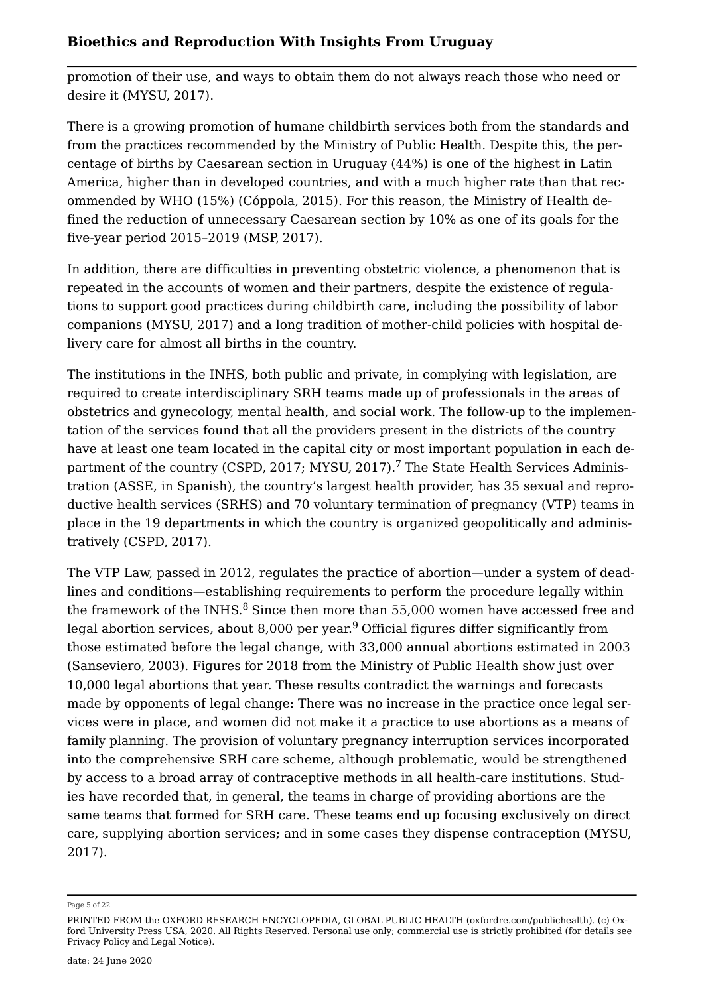promotion of their use, and ways to obtain them do not always reach those who need or desire it (MYSU, [2017](#page-18-1)).

There is a growing promotion of humane childbirth services both from the standards and from the practices recommended by the Ministry of Public Health. Despite this, the percentage of births by Caesarean section in Uruguay (44%) is one of the highest in Latin America, higher than in developed countries, and with a much higher rate than that recommended by WHO (15%) (Cóppola, [2015](#page-17-4)). For this reason, the Ministry of Health defined the reduction of unnecessary Caesarean section by 10% as one of its goals for the five-year period 2015–2019 (MSP, [2017\)](#page-18-3).

In addition, there are difficulties in preventing obstetric violence, a phenomenon that is repeated in the accounts of women and their partners, despite the existence of regulations to support good practices during childbirth care, including the possibility of labor companions (MYSU, [2017](#page-18-1)) and a long tradition of mother-child policies with hospital delivery care for almost all births in the country.

<span id="page-4-0"></span>The institutions in the INHS, both public and private, in complying with legislation, are required to create interdisciplinary SRH teams made up of professionals in the areas of obstetrics and gynecology, mental health, and social work. The follow-up to the implementation of the services found that all the providers present in the districts of the country have at least one team located in the capital city or most important population in each de-partment of the country (CSPD, [2017;](#page-17-3) MYSU, [2017](#page-18-1)).<sup>[7](#page-20-5)</sup> The State Health Services Administration (ASSE, in Spanish), the country's largest health provider, has 35 sexual and reproductive health services (SRHS) and 70 voluntary termination of pregnancy (VTP) teams in place in the 19 departments in which the country is organized geopolitically and administratively (CSPD, [2017\)](#page-17-3).

<span id="page-4-2"></span><span id="page-4-1"></span>The VTP Law, passed in 2012, regulates the practice of abortion—under a system of deadlines and conditions—establishing requirements to perform the procedure legally within the framework of the INHS. $8$  Since then more than 55,000 women have accessed free and legal abortion services, about 8,000 per year.<sup>[9](#page-20-7)</sup> Official figures differ significantly from those estimated before the legal change, with 33,000 annual abortions estimated in 2003 (Sanseviero, [2003](#page-19-2)). Figures for 2018 from the Ministry of Public Health show just over 10,000 legal abortions that year. These results contradict the warnings and forecasts made by opponents of legal change: There was no increase in the practice once legal services were in place, and women did not make it a practice to use abortions as a means of family planning. The provision of voluntary pregnancy interruption services incorporated into the comprehensive SRH care scheme, although problematic, would be strengthened by access to a broad array of contraceptive methods in all health-care institutions. Studies have recorded that, in general, the teams in charge of providing abortions are the same teams that formed for SRH care. These teams end up focusing exclusively on direct care, supplying abortion services; and in some cases they dispense contraception (MYSU, [2017](#page-18-1)).

#### Page 5 of 22

PRINTED FROM the OXFORD RESEARCH ENCYCLOPEDIA, GLOBAL PUBLIC HEALTH (oxfordre.com/publichealth). (c) Oxford University Press USA, 2020. All Rights Reserved. Personal use only; commercial use is strictly prohibited (for details see [Privacy Policy](https://global.oup.com/privacy) and [Legal Notice](https://oxfordre.com/page/legal-notice)).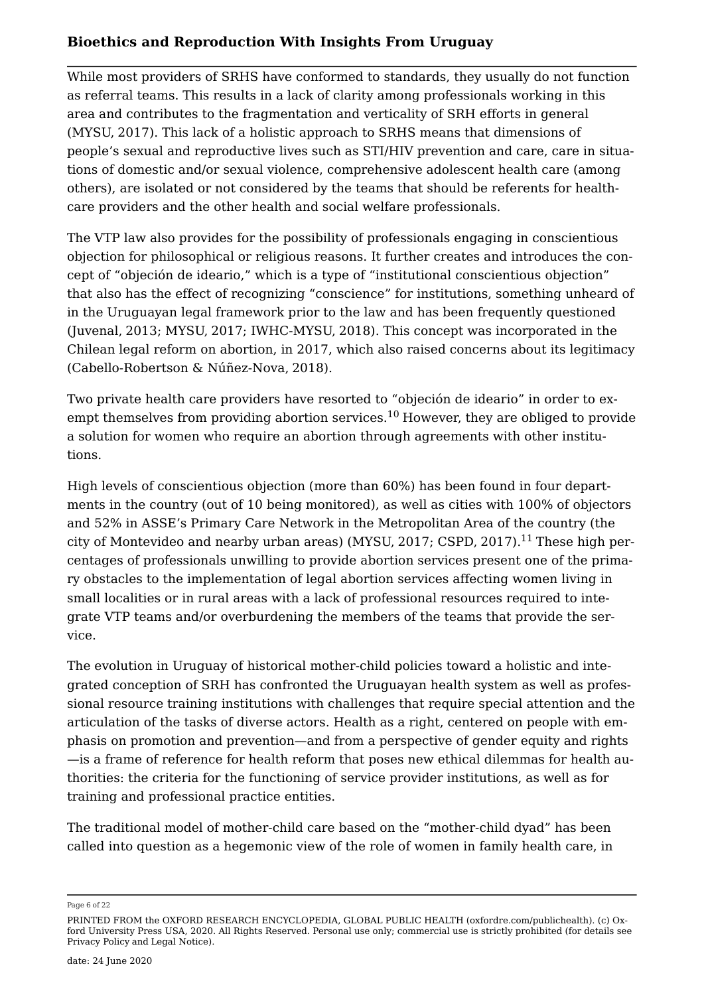While most providers of SRHS have conformed to standards, they usually do not function as referral teams. This results in a lack of clarity among professionals working in this area and contributes to the fragmentation and verticality of SRH efforts in general (MYSU, [2017](#page-18-1)). This lack of a holistic approach to SRHS means that dimensions of people's sexual and reproductive lives such as STI/HIV prevention and care, care in situations of domestic and/or sexual violence, comprehensive adolescent health care (among others), are isolated or not considered by the teams that should be referents for healthcare providers and the other health and social welfare professionals.

The VTP law also provides for the possibility of professionals engaging in conscientious objection for philosophical or religious reasons. It further creates and introduces the concept of "objeción de ideario," which is a type of "institutional conscientious objection" that also has the effect of recognizing "conscience" for institutions, something unheard of in the Uruguayan legal framework prior to the law and has been frequently questioned (Juvenal, [2013](#page-18-4); MYSU, [2017](#page-18-1); IWHC-MYSU, [2018](#page-16-1)). This concept was incorporated in the Chilean legal reform on abortion, in 2017, which also raised concerns about its legitimacy (Cabello-Robertson & Núñez-Nova, [2018\)](#page-17-5).

<span id="page-5-0"></span>Two private health care providers have resorted to "objeción de ideario" in order to ex-empt themselves from providing abortion services.<sup>[10](#page-20-8)</sup> However, they are obliged to provide a solution for women who require an abortion through agreements with other institutions.

<span id="page-5-1"></span>High levels of conscientious objection (more than 60%) has been found in four departments in the country (out of 10 being monitored), as well as cities with 100% of objectors and 52% in ASSE's Primary Care Network in the Metropolitan Area of the country (the city of Montevideo and nearby urban areas) (MYSU, [2017](#page-17-3); CSPD, 2017).<sup>[11](#page-20-9)</sup> These high percentages of professionals unwilling to provide abortion services present one of the primary obstacles to the implementation of legal abortion services affecting women living in small localities or in rural areas with a lack of professional resources required to integrate VTP teams and/or overburdening the members of the teams that provide the service.

The evolution in Uruguay of historical mother-child policies toward a holistic and integrated conception of SRH has confronted the Uruguayan health system as well as professional resource training institutions with challenges that require special attention and the articulation of the tasks of diverse actors. Health as a right, centered on people with emphasis on promotion and prevention—and from a perspective of gender equity and rights —is a frame of reference for health reform that poses new ethical dilemmas for health authorities: the criteria for the functioning of service provider institutions, as well as for training and professional practice entities.

The traditional model of mother-child care based on the "mother-child dyad" has been called into question as a hegemonic view of the role of women in family health care, in

Page 6 of 22

PRINTED FROM the OXFORD RESEARCH ENCYCLOPEDIA, GLOBAL PUBLIC HEALTH (oxfordre.com/publichealth). (c) Oxford University Press USA, 2020. All Rights Reserved. Personal use only; commercial use is strictly prohibited (for details see [Privacy Policy](https://global.oup.com/privacy) and [Legal Notice](https://oxfordre.com/page/legal-notice)).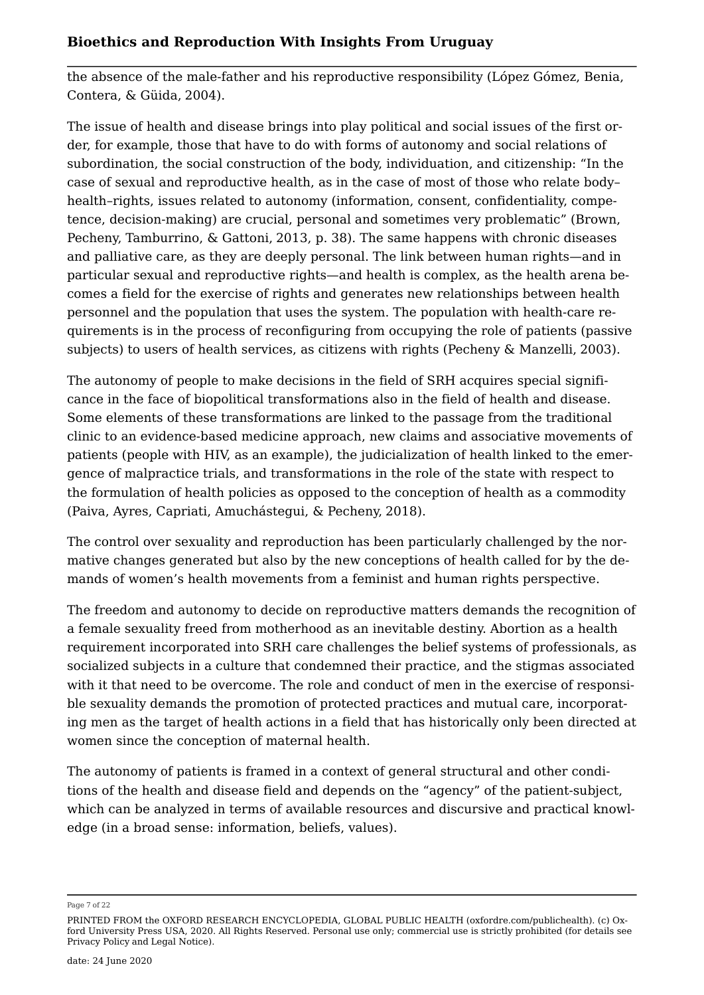the absence of the male-father and his reproductive responsibility (López Gómez, Benia, Contera, & Güida, [2004](#page-18-5)).

The issue of health and disease brings into play political and social issues of the first order, for example, those that have to do with forms of autonomy and social relations of subordination, the social construction of the body, individuation, and citizenship: "In the case of sexual and reproductive health, as in the case of most of those who relate body– health–rights, issues related to autonomy (information, consent, confidentiality, competence, decision-making) are crucial, personal and sometimes very problematic" (Brown, Pecheny, Tamburrino, & Gattoni, [2013](#page-15-0), p. 38). The same happens with chronic diseases and palliative care, as they are deeply personal. The link between human rights—and in particular sexual and reproductive rights—and health is complex, as the health arena becomes a field for the exercise of rights and generates new relationships between health personnel and the population that uses the system. The population with health-care requirements is in the process of reconfiguring from occupying the role of patients (passive subjects) to users of health services, as citizens with rights (Pecheny & Manzelli, [2003](#page-19-3)).

The autonomy of people to make decisions in the field of SRH acquires special significance in the face of biopolitical transformations also in the field of health and disease. Some elements of these transformations are linked to the passage from the traditional clinic to an evidence-based medicine approach, new claims and associative movements of patients (people with HIV, as an example), the judicialization of health linked to the emergence of malpractice trials, and transformations in the role of the state with respect to the formulation of health policies as opposed to the conception of health as a commodity (Paiva, Ayres, Capriati, Amuchástegui, & Pecheny, [2018\)](#page-18-6).

The control over sexuality and reproduction has been particularly challenged by the normative changes generated but also by the new conceptions of health called for by the demands of women's health movements from a feminist and human rights perspective.

The freedom and autonomy to decide on reproductive matters demands the recognition of a female sexuality freed from motherhood as an inevitable destiny. Abortion as a health requirement incorporated into SRH care challenges the belief systems of professionals, as socialized subjects in a culture that condemned their practice, and the stigmas associated with it that need to be overcome. The role and conduct of men in the exercise of responsible sexuality demands the promotion of protected practices and mutual care, incorporating men as the target of health actions in a field that has historically only been directed at women since the conception of maternal health.

The autonomy of patients is framed in a context of general structural and other conditions of the health and disease field and depends on the "agency" of the patient-subject, which can be analyzed in terms of available resources and discursive and practical knowledge (in a broad sense: information, beliefs, values).

Page 7 of 22

PRINTED FROM the OXFORD RESEARCH ENCYCLOPEDIA, GLOBAL PUBLIC HEALTH (oxfordre.com/publichealth). (c) Oxford University Press USA, 2020. All Rights Reserved. Personal use only; commercial use is strictly prohibited (for details see [Privacy Policy](https://global.oup.com/privacy) and [Legal Notice](https://oxfordre.com/page/legal-notice)).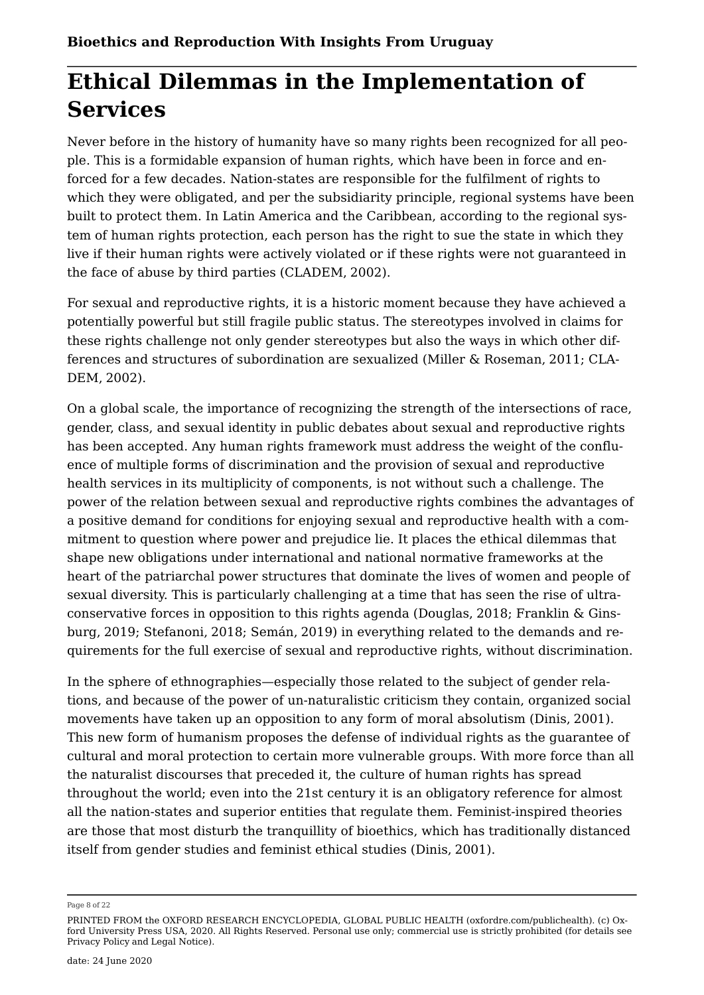## **Ethical Dilemmas in the Implementation of Services**

Never before in the history of humanity have so many rights been recognized for all people. This is a formidable expansion of human rights, which have been in force and enforced for a few decades. Nation-states are responsible for the fulfilment of rights to which they were obligated, and per the subsidiarity principle, regional systems have been built to protect them. In Latin America and the Caribbean, according to the regional system of human rights protection, each person has the right to sue the state in which they live if their human rights were actively violated or if these rights were not guaranteed in the face of abuse by third parties (CLADEM, [2002](#page-17-6)).

For sexual and reproductive rights, it is a historic moment because they have achieved a potentially powerful but still fragile public status. The stereotypes involved in claims for these rights challenge not only gender stereotypes but also the ways in which other differences and structures of subordination are sexualized (Miller & Roseman, [2011](#page-18-7); CLA-DEM, [2002](#page-17-6)).

On a global scale, the importance of recognizing the strength of the intersections of race, gender, class, and sexual identity in public debates about sexual and reproductive rights has been accepted. Any human rights framework must address the weight of the confluence of multiple forms of discrimination and the provision of sexual and reproductive health services in its multiplicity of components, is not without such a challenge. The power of the relation between sexual and reproductive rights combines the advantages of a positive demand for conditions for enjoying sexual and reproductive health with a commitment to question where power and prejudice lie. It places the ethical dilemmas that shape new obligations under international and national normative frameworks at the heart of the patriarchal power structures that dominate the lives of women and people of sexual diversity. This is particularly challenging at a time that has seen the rise of ultraconservative forces in opposition to this rights agenda (Douglas, [2018](#page-17-7); Franklin & Ginsburg, [2019;](#page-17-8) Stefanoni, [2018](#page-19-4); Semán, [2019](#page-19-5)) in everything related to the demands and requirements for the full exercise of sexual and reproductive rights, without discrimination.

In the sphere of ethnographies—especially those related to the subject of gender relations, and because of the power of un-naturalistic criticism they contain, organized social movements have taken up an opposition to any form of moral absolutism (Dinis, [2001](#page-15-1)). This new form of humanism proposes the defense of individual rights as the guarantee of cultural and moral protection to certain more vulnerable groups. With more force than all the naturalist discourses that preceded it, the culture of human rights has spread throughout the world; even into the 21st century it is an obligatory reference for almost all the nation-states and superior entities that regulate them. Feminist-inspired theories are those that most disturb the tranquillity of bioethics, which has traditionally distanced itself from gender studies and feminist ethical studies (Dinis, [2001\)](#page-15-1).

Page 8 of 22

PRINTED FROM the OXFORD RESEARCH ENCYCLOPEDIA, GLOBAL PUBLIC HEALTH (oxfordre.com/publichealth). (c) Oxford University Press USA, 2020. All Rights Reserved. Personal use only; commercial use is strictly prohibited (for details see [Privacy Policy](https://global.oup.com/privacy) and [Legal Notice](https://oxfordre.com/page/legal-notice)).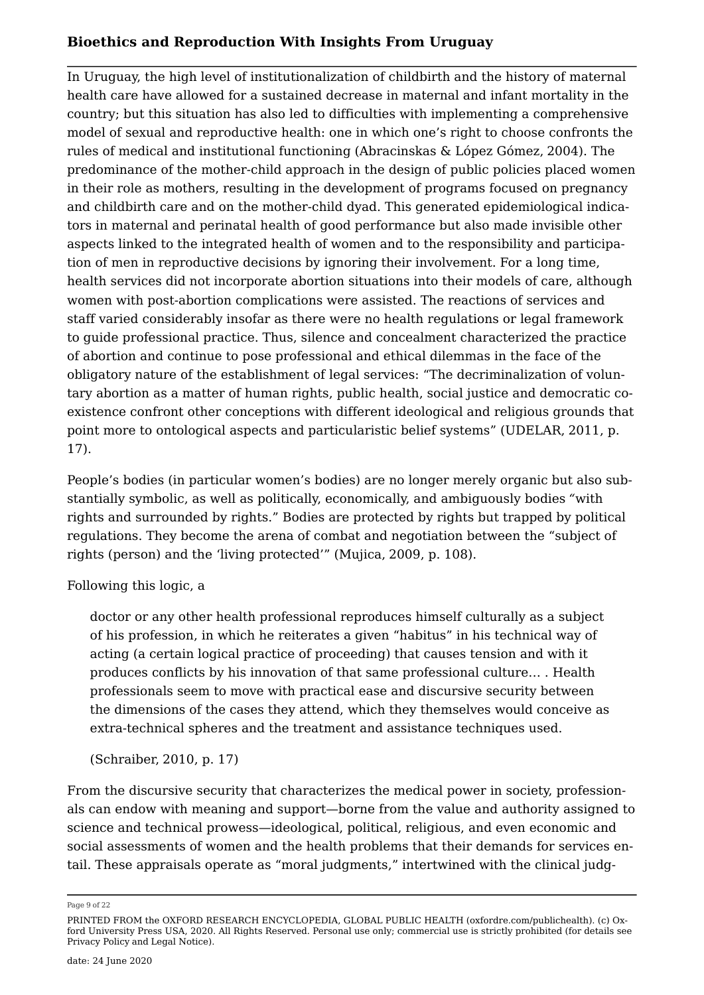In Uruguay, the high level of institutionalization of childbirth and the history of maternal health care have allowed for a sustained decrease in maternal and infant mortality in the country; but this situation has also led to difficulties with implementing a comprehensive model of sexual and reproductive health: one in which one's right to choose confronts the rules of medical and institutional functioning (Abracinskas & López Gómez, [2004](#page-16-2)). The predominance of the mother-child approach in the design of public policies placed women in their role as mothers, resulting in the development of programs focused on pregnancy and childbirth care and on the mother-child dyad. This generated epidemiological indicators in maternal and perinatal health of good performance but also made invisible other aspects linked to the integrated health of women and to the responsibility and participation of men in reproductive decisions by ignoring their involvement. For a long time, health services did not incorporate abortion situations into their models of care, although women with post-abortion complications were assisted. The reactions of services and staff varied considerably insofar as there were no health regulations or legal framework to guide professional practice. Thus, silence and concealment characterized the practice of abortion and continue to pose professional and ethical dilemmas in the face of the obligatory nature of the establishment of legal services: "The decriminalization of voluntary abortion as a matter of human rights, public health, social justice and democratic coexistence confront other conceptions with different ideological and religious grounds that point more to ontological aspects and particularistic belief systems" (UDELAR, [2011](#page-19-6), p. 17).

People's bodies (in particular women's bodies) are no longer merely organic but also substantially symbolic, as well as politically, economically, and ambiguously bodies *"*with rights and surrounded by rights." Bodies are protected by rights but trapped by political regulations. They become the arena of combat and negotiation between the "subject of rights (person) and the 'living protected'" (Mujica, [2009,](#page-18-8) p. 108).

#### Following this logic, a

doctor or any other health professional reproduces himself culturally as a subject of his profession, in which he reiterates a given "habitus" in his technical way of acting (a certain logical practice of proceeding) that causes tension and with it produces conflicts by his innovation of that same professional culture… . Health professionals seem to move with practical ease and discursive security between the dimensions of the cases they attend, which they themselves would conceive as extra-technical spheres and the treatment and assistance techniques used.

#### (Schraiber, [2010](#page-19-7), p. 17)

From the discursive security that characterizes the medical power in society, professionals can endow with meaning and support—borne from the value and authority assigned to science and technical prowess—ideological, political, religious, and even economic and social assessments of women and the health problems that their demands for services entail. These appraisals operate as "moral judgments," intertwined with the clinical judg

Page 9 of 22

PRINTED FROM the OXFORD RESEARCH ENCYCLOPEDIA, GLOBAL PUBLIC HEALTH (oxfordre.com/publichealth). (c) Oxford University Press USA, 2020. All Rights Reserved. Personal use only; commercial use is strictly prohibited (for details see [Privacy Policy](https://global.oup.com/privacy) and [Legal Notice](https://oxfordre.com/page/legal-notice)).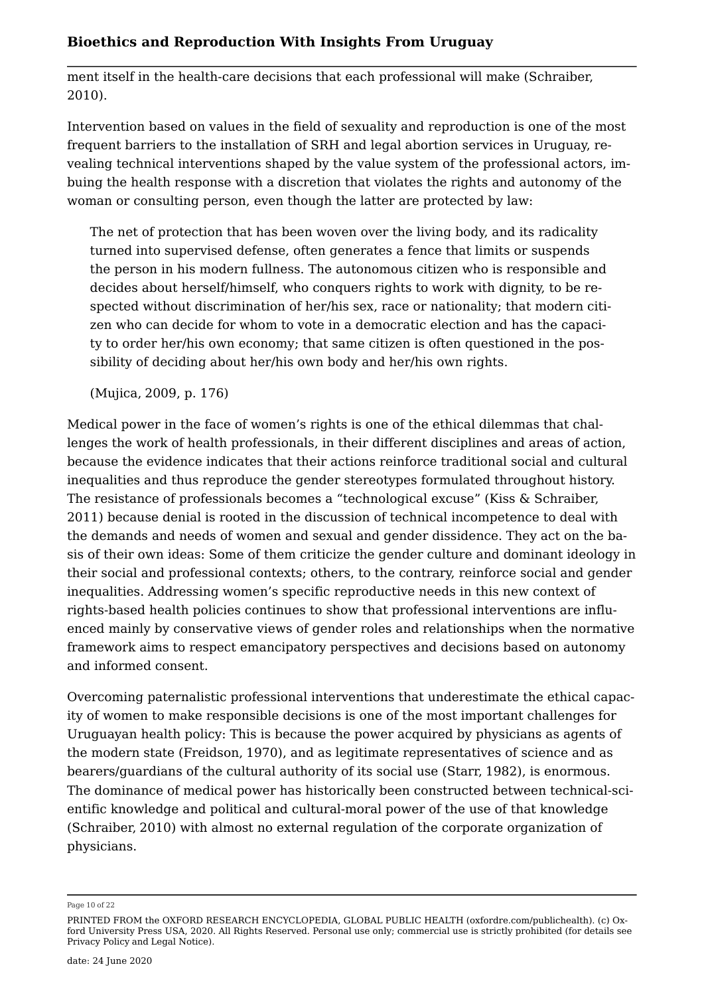ment itself in the health-care decisions that each professional will make (Schraiber, [2010](#page-19-7)).

Intervention based on values in the field of sexuality and reproduction is one of the most frequent barriers to the installation of SRH and legal abortion services in Uruguay, revealing technical interventions shaped by the value system of the professional actors, imbuing the health response with a discretion that violates the rights and autonomy of the woman or consulting person, even though the latter are protected by law:

The net of protection that has been woven over the living body, and its radicality turned into supervised defense, often generates a fence that limits or suspends the person in his modern fullness. The autonomous citizen who is responsible and decides about herself/himself, who conquers rights to work with dignity, to be respected without discrimination of her/his sex, race or nationality; that modern citizen who can decide for whom to vote in a democratic election and has the capacity to order her/his own economy; that same citizen is often questioned in the possibility of deciding about her/his own body and her/his own rights.

(Mujica, [2009](#page-18-8), p. 176)

Medical power in the face of women's rights is one of the ethical dilemmas that challenges the work of health professionals, in their different disciplines and areas of action, because the evidence indicates that their actions reinforce traditional social and cultural inequalities and thus reproduce the gender stereotypes formulated throughout history. The resistance of professionals becomes a "technological excuse" (Kiss & Schraiber, [2011](#page-16-3)) because denial is rooted in the discussion of technical incompetence to deal with the demands and needs of women and sexual and gender dissidence. They act on the basis of their own ideas: Some of them criticize the gender culture and dominant ideology in their social and professional contexts; others, to the contrary, reinforce social and gender inequalities. Addressing women's specific reproductive needs in this new context of rights-based health policies continues to show that professional interventions are influenced mainly by conservative views of gender roles and relationships when the normative framework aims to respect emancipatory perspectives and decisions based on autonomy and informed consent.

Overcoming paternalistic professional interventions that underestimate the ethical capacity of women to make responsible decisions is one of the most important challenges for Uruguayan health policy: This is because the power acquired by physicians as agents of the modern state (Freidson, [1970](#page-17-9)), and as legitimate representatives of science and as bearers/guardians of the cultural authority of its social use (Starr, [1982\)](#page-19-8), is enormous. The dominance of medical power has historically been constructed between technical-scientific knowledge and political and cultural-moral power of the use of that knowledge (Schraiber, [2010\)](#page-19-7) with almost no external regulation of the corporate organization of physicians.

Page 10 of 22

PRINTED FROM the OXFORD RESEARCH ENCYCLOPEDIA, GLOBAL PUBLIC HEALTH (oxfordre.com/publichealth). (c) Oxford University Press USA, 2020. All Rights Reserved. Personal use only; commercial use is strictly prohibited (for details see [Privacy Policy](https://global.oup.com/privacy) and [Legal Notice](https://oxfordre.com/page/legal-notice)).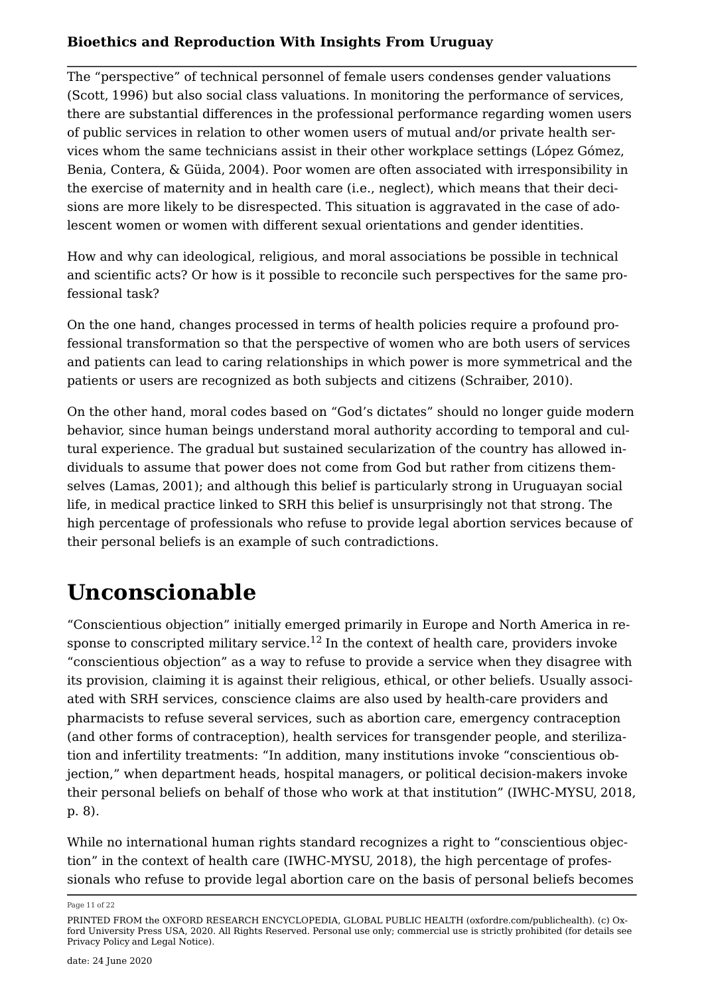The "perspective" of technical personnel of female users condenses gender valuations (Scott, [1996](#page-19-9)) but also social class valuations. In monitoring the performance of services, there are substantial differences in the professional performance regarding women users of public services in relation to other women users of mutual and/or private health services whom the same technicians assist in their other workplace settings (López Gómez, Benia, Contera, & Güida, [2004](#page-18-5)). Poor women are often associated with irresponsibility in the exercise of maternity and in health care (i.e., neglect), which means that their decisions are more likely to be disrespected. This situation is aggravated in the case of adolescent women or women with different sexual orientations and gender identities.

How and why can ideological, religious, and moral associations be possible in technical and scientific acts? Or how is it possible to reconcile such perspectives for the same professional task?

On the one hand, changes processed in terms of health policies require a profound professional transformation so that the perspective of women who are both users of services and patients can lead to caring relationships in which power is more symmetrical and the patients or users are recognized as both subjects and citizens (Schraiber, [2010](#page-19-7)).

On the other hand, moral codes based on "God's dictates" should no longer guide modern behavior, since human beings understand moral authority according to temporal and cultural experience. The gradual but sustained secularization of the country has allowed individuals to assume that power does not come from God but rather from citizens themselves (Lamas, [2001](#page-18-9)); and although this belief is particularly strong in Uruguayan social life, in medical practice linked to SRH this belief is unsurprisingly not that strong. The high percentage of professionals who refuse to provide legal abortion services because of their personal beliefs is an example of such contradictions.

## **Unconscionable**

<span id="page-10-0"></span>"Conscientious objection" initially emerged primarily in Europe and North America in re-sponse to conscripted military service.<sup>[12](#page-20-10)</sup> In the context of health care, providers invoke "conscientious objection" as a way to refuse to provide a service when they disagree with its provision, claiming it is against their religious, ethical, or other beliefs. Usually associated with SRH services, conscience claims are also used by health-care providers and pharmacists to refuse several services, such as abortion care, emergency contraception (and other forms of contraception), health services for transgender people, and sterilization and infertility treatments: "In addition, many institutions invoke "conscientious objection," when department heads, hospital managers, or political decision-makers invoke their personal beliefs on behalf of those who work at that institution" (IWHC-MYSU, [2018,](#page-16-1) p. 8).

While no international human rights standard recognizes a right to "conscientious objection" in the context of health care (IWHC-MYSU, [2018](#page-16-1)), the high percentage of professionals who refuse to provide legal abortion care on the basis of personal beliefs becomes

Page 11 of 22

PRINTED FROM the OXFORD RESEARCH ENCYCLOPEDIA, GLOBAL PUBLIC HEALTH (oxfordre.com/publichealth). (c) Oxford University Press USA, 2020. All Rights Reserved. Personal use only; commercial use is strictly prohibited (for details see [Privacy Policy](https://global.oup.com/privacy) and [Legal Notice](https://oxfordre.com/page/legal-notice)).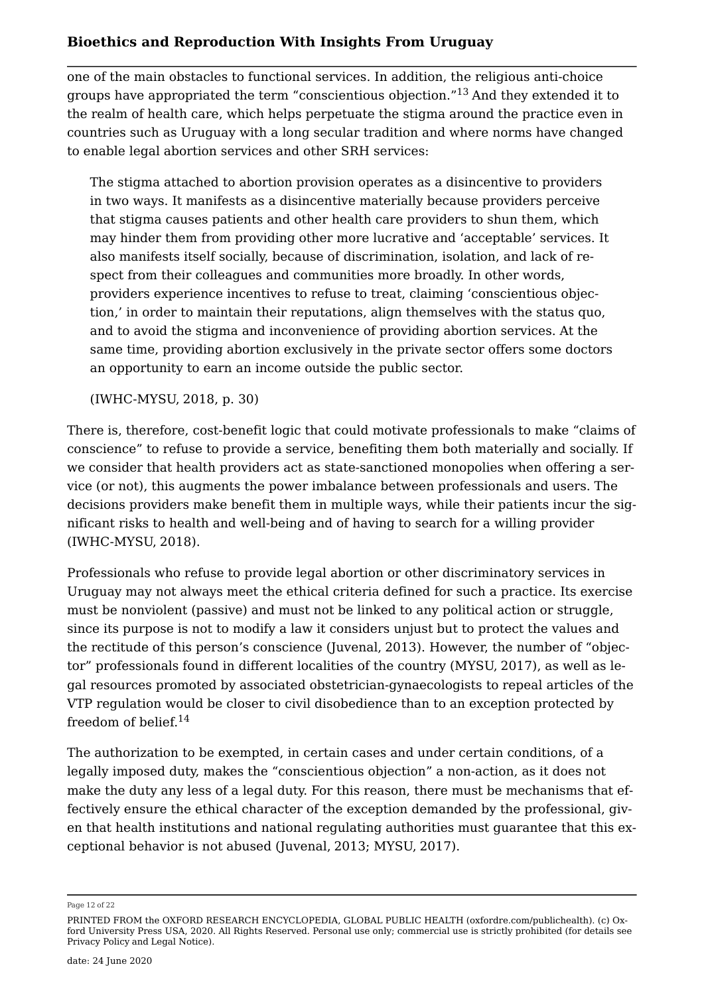one of the main obstacles to functional services. In addition, the religious anti-choice groups have appropriated the term "conscientious objection."[13](#page-20-11) And they extended it to the realm of health care, which helps perpetuate the stigma around the practice even in countries such as Uruguay with a long secular tradition and where norms have changed to enable legal abortion services and other SRH services:

<span id="page-11-0"></span>The stigma attached to abortion provision operates as a disincentive to providers in two ways. It manifests as a disincentive materially because providers perceive that stigma causes patients and other health care providers to shun them, which may hinder them from providing other more lucrative and 'acceptable' services. It also manifests itself socially, because of discrimination, isolation, and lack of respect from their colleagues and communities more broadly. In other words, providers experience incentives to refuse to treat, claiming 'conscientious objection,' in order to maintain their reputations, align themselves with the status quo, and to avoid the stigma and inconvenience of providing abortion services. At the same time, providing abortion exclusively in the private sector offers some doctors an opportunity to earn an income outside the public sector.

(IWHC-MYSU, [2018](#page-16-1), p. 30)

There is, therefore, cost-benefit logic that could motivate professionals to make "claims of conscience" to refuse to provide a service, benefiting them both materially and socially. If we consider that health providers act as state-sanctioned monopolies when offering a service (or not), this augments the power imbalance between professionals and users. The decisions providers make benefit them in multiple ways, while their patients incur the significant risks to health and well-being and of having to search for a willing provider (IWHC-MYSU, [2018\)](#page-16-1).

Professionals who refuse to provide legal abortion or other discriminatory services in Uruguay may not always meet the ethical criteria defined for such a practice. Its exercise must be nonviolent (passive) and must not be linked to any political action or struggle, since its purpose is not to modify a law it considers unjust but to protect the values and the rectitude of this person's conscience (Juvenal, [2013](#page-18-4)). However, the number of "objector" professionals found in different localities of the country (MYSU, [2017](#page-18-1)), as well as legal resources promoted by associated obstetrician-gynaecologists to repeal articles of the VTP regulation would be closer to civil disobedience than to an exception protected by freedom of belief. $14$ 

<span id="page-11-1"></span>The authorization to be exempted, in certain cases and under certain conditions, of a legally imposed duty, makes the "conscientious objection" a non-action, as it does not make the duty any less of a legal duty. For this reason, there must be mechanisms that effectively ensure the ethical character of the exception demanded by the professional, given that health institutions and national regulating authorities must guarantee that this exceptional behavior is not abused (Juvenal, [2013](#page-18-4); MYSU, [2017\)](#page-18-1).

Page 12 of 22

PRINTED FROM the OXFORD RESEARCH ENCYCLOPEDIA, GLOBAL PUBLIC HEALTH (oxfordre.com/publichealth). (c) Oxford University Press USA, 2020. All Rights Reserved. Personal use only; commercial use is strictly prohibited (for details see [Privacy Policy](https://global.oup.com/privacy) and [Legal Notice](https://oxfordre.com/page/legal-notice)).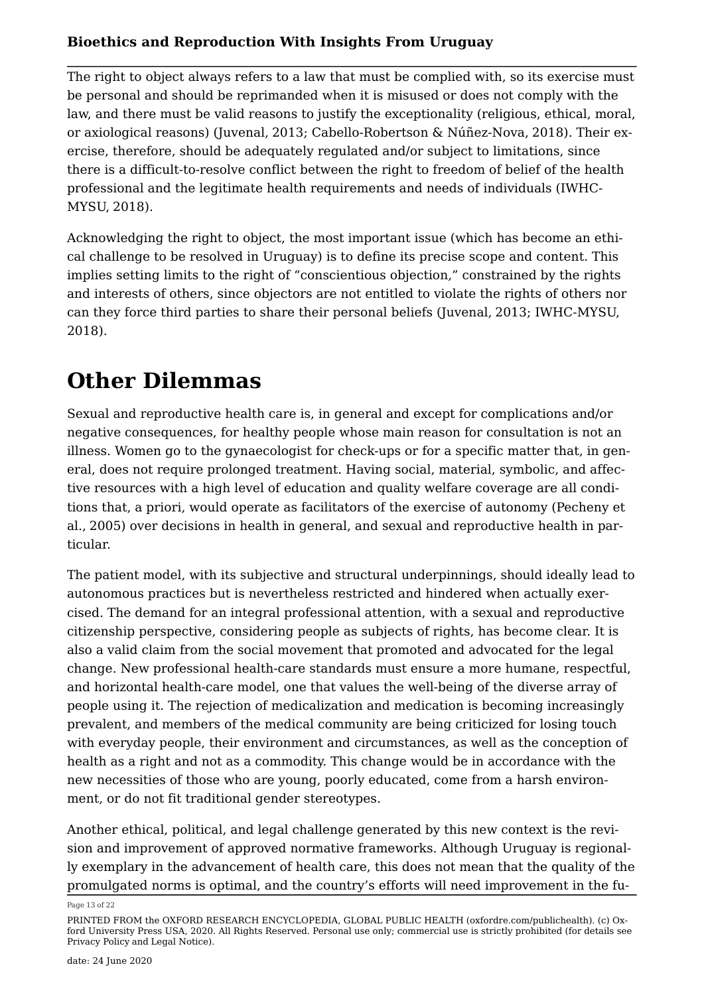The right to object always refers to a law that must be complied with, so its exercise must be personal and should be reprimanded when it is misused or does not comply with the law, and there must be valid reasons to justify the exceptionality (religious, ethical, moral, or axiological reasons) (Juvenal, [2013;](#page-18-4) Cabello-Robertson & Núñez-Nova, [2018](#page-17-5)). Their exercise, therefore, should be adequately regulated and/or subject to limitations, since there is a difficult-to-resolve conflict between the right to freedom of belief of the health professional and the legitimate health requirements and needs of individuals (IWHC-MYSU, [2018](#page-16-1)).

Acknowledging the right to object, the most important issue (which has become an ethical challenge to be resolved in Uruguay) is to define its precise scope and content. This implies setting limits to the right of "conscientious objection," constrained by the rights and interests of others, since objectors are not entitled to violate the rights of others nor can they force third parties to share their personal beliefs (Juvenal, [2013;](#page-18-4) IWHC-MYSU, [2018](#page-16-1)).

### **Other Dilemmas**

Sexual and reproductive health care is, in general and except for complications and/or negative consequences, for healthy people whose main reason for consultation is not an illness. Women go to the gynaecologist for check-ups or for a specific matter that, in general, does not require prolonged treatment. Having social, material, symbolic, and affective resources with a high level of education and quality welfare coverage are all conditions that, a priori, would operate as facilitators of the exercise of autonomy (Pecheny et al., [2005](#page-16-4)) over decisions in health in general, and sexual and reproductive health in particular.

The patient model, with its subjective and structural underpinnings, should ideally lead to autonomous practices but is nevertheless restricted and hindered when actually exercised. The demand for an integral professional attention, with a sexual and reproductive citizenship perspective, considering people as subjects of rights, has become clear. It is also a valid claim from the social movement that promoted and advocated for the legal change. New professional health-care standards must ensure a more humane, respectful, and horizontal health-care model, one that values the well-being of the diverse array of people using it. The rejection of medicalization and medication is becoming increasingly prevalent, and members of the medical community are being criticized for losing touch with everyday people, their environment and circumstances, as well as the conception of health as a right and not as a commodity. This change would be in accordance with the new necessities of those who are young, poorly educated, come from a harsh environment, or do not fit traditional gender stereotypes.

Another ethical, political, and legal challenge generated by this new context is the revision and improvement of approved normative frameworks. Although Uruguay is regionally exemplary in the advancement of health care, this does not mean that the quality of the promulgated norms is optimal, and the country's efforts will need improvement in the fu

Page 13 of 22

PRINTED FROM the OXFORD RESEARCH ENCYCLOPEDIA, GLOBAL PUBLIC HEALTH (oxfordre.com/publichealth). (c) Oxford University Press USA, 2020. All Rights Reserved. Personal use only; commercial use is strictly prohibited (for details see [Privacy Policy](https://global.oup.com/privacy) and [Legal Notice](https://oxfordre.com/page/legal-notice)).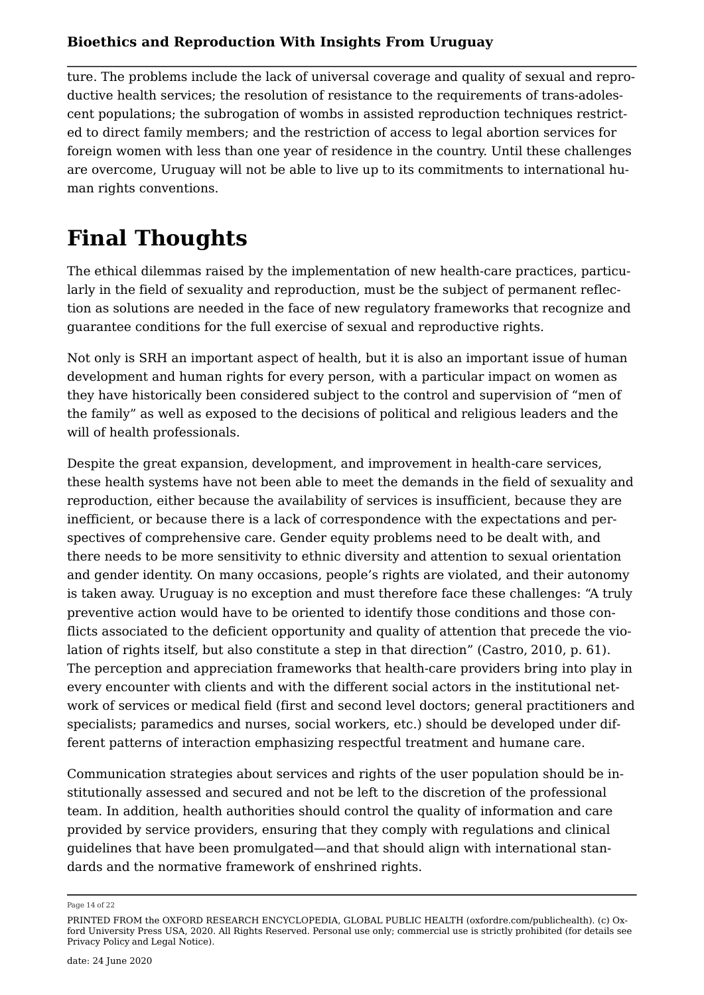ture. The problems include the lack of universal coverage and quality of sexual and reproductive health services; the resolution of resistance to the requirements of trans-adolescent populations; the subrogation of wombs in assisted reproduction techniques restricted to direct family members; and the restriction of access to legal abortion services for foreign women with less than one year of residence in the country. Until these challenges are overcome, Uruguay will not be able to live up to its commitments to international human rights conventions.

# **Final Thoughts**

The ethical dilemmas raised by the implementation of new health-care practices, particularly in the field of sexuality and reproduction, must be the subject of permanent reflection as solutions are needed in the face of new regulatory frameworks that recognize and guarantee conditions for the full exercise of sexual and reproductive rights.

Not only is SRH an important aspect of health, but it is also an important issue of human development and human rights for every person, with a particular impact on women as they have historically been considered subject to the control and supervision of "men of the family" as well as exposed to the decisions of political and religious leaders and the will of health professionals.

Despite the great expansion, development, and improvement in health-care services, these health systems have not been able to meet the demands in the field of sexuality and reproduction, either because the availability of services is insufficient, because they are inefficient, or because there is a lack of correspondence with the expectations and perspectives of comprehensive care. Gender equity problems need to be dealt with, and there needs to be more sensitivity to ethnic diversity and attention to sexual orientation and gender identity. On many occasions, people's rights are violated, and their autonomy is taken away. Uruguay is no exception and must therefore face these challenges: "A truly preventive action would have to be oriented to identify those conditions and those conflicts associated to the deficient opportunity and quality of attention that precede the violation of rights itself, but also constitute a step in that direction" (Castro, [2010,](#page-17-10) p. 61). The perception and appreciation frameworks that health-care providers bring into play in every encounter with clients and with the different social actors in the institutional network of services or medical field (first and second level doctors; general practitioners and specialists; paramedics and nurses, social workers, etc.) should be developed under different patterns of interaction emphasizing respectful treatment and humane care.

Communication strategies about services and rights of the user population should be institutionally assessed and secured and not be left to the discretion of the professional team. In addition, health authorities should control the quality of information and care provided by service providers, ensuring that they comply with regulations and clinical guidelines that have been promulgated—and that should align with international standards and the normative framework of enshrined rights.

Page 14 of 22

PRINTED FROM the OXFORD RESEARCH ENCYCLOPEDIA, GLOBAL PUBLIC HEALTH (oxfordre.com/publichealth). (c) Oxford University Press USA, 2020. All Rights Reserved. Personal use only; commercial use is strictly prohibited (for details see [Privacy Policy](https://global.oup.com/privacy) and [Legal Notice](https://oxfordre.com/page/legal-notice)).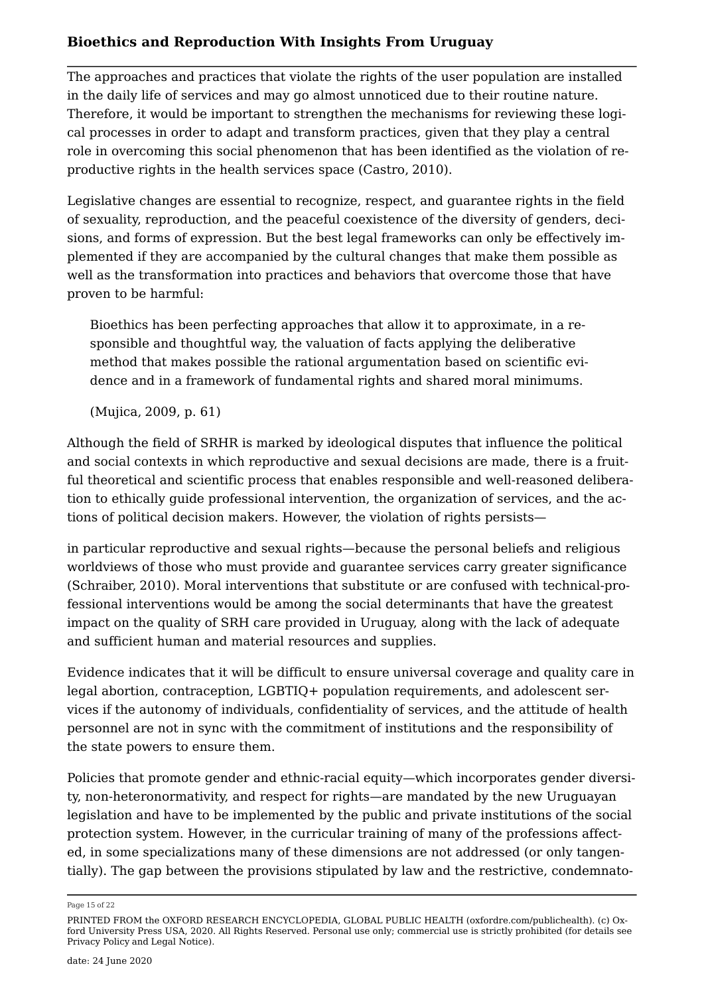The approaches and practices that violate the rights of the user population are installed in the daily life of services and may go almost unnoticed due to their routine nature. Therefore, it would be important to strengthen the mechanisms for reviewing these logical processes in order to adapt and transform practices, given that they play a central role in overcoming this social phenomenon that has been identified as the violation of reproductive rights in the health services space (Castro, [2010](#page-17-10)).

Legislative changes are essential to recognize, respect, and guarantee rights in the field of sexuality, reproduction, and the peaceful coexistence of the diversity of genders, decisions, and forms of expression. But the best legal frameworks can only be effectively implemented if they are accompanied by the cultural changes that make them possible as well as the transformation into practices and behaviors that overcome those that have proven to be harmful:

Bioethics has been perfecting approaches that allow it to approximate, in a responsible and thoughtful way, the valuation of facts applying the deliberative method that makes possible the rational argumentation based on scientific evidence and in a framework of fundamental rights and shared moral minimums.

(Mujica, [2009](#page-18-8), p. 61)

Although the field of SRHR is marked by ideological disputes that influence the political and social contexts in which reproductive and sexual decisions are made, there is a fruitful theoretical and scientific process that enables responsible and well-reasoned deliberation to ethically guide professional intervention, the organization of services, and the actions of political decision makers. However, the violation of rights persists—

in particular reproductive and sexual rights—because the personal beliefs and religious worldviews of those who must provide and guarantee services carry greater significance (Schraiber, [2010](#page-19-7)). Moral interventions that substitute or are confused with technical-professional interventions would be among the social determinants that have the greatest impact on the quality of SRH care provided in Uruguay, along with the lack of adequate and sufficient human and material resources and supplies.

Evidence indicates that it will be difficult to ensure universal coverage and quality care in legal abortion, contraception, LGBTIQ+ population requirements, and adolescent services if the autonomy of individuals, confidentiality of services, and the attitude of health personnel are not in sync with the commitment of institutions and the responsibility of the state powers to ensure them.

Policies that promote gender and ethnic-racial equity—which incorporates gender diversity, non-heteronormativity, and respect for rights—are mandated by the new Uruguayan legislation and have to be implemented by the public and private institutions of the social protection system. However, in the curricular training of many of the professions affected, in some specializations many of these dimensions are not addressed (or only tangentially). The gap between the provisions stipulated by law and the restrictive, condemnato

Page 15 of 22

PRINTED FROM the OXFORD RESEARCH ENCYCLOPEDIA, GLOBAL PUBLIC HEALTH (oxfordre.com/publichealth). (c) Oxford University Press USA, 2020. All Rights Reserved. Personal use only; commercial use is strictly prohibited (for details see [Privacy Policy](https://global.oup.com/privacy) and [Legal Notice](https://oxfordre.com/page/legal-notice)).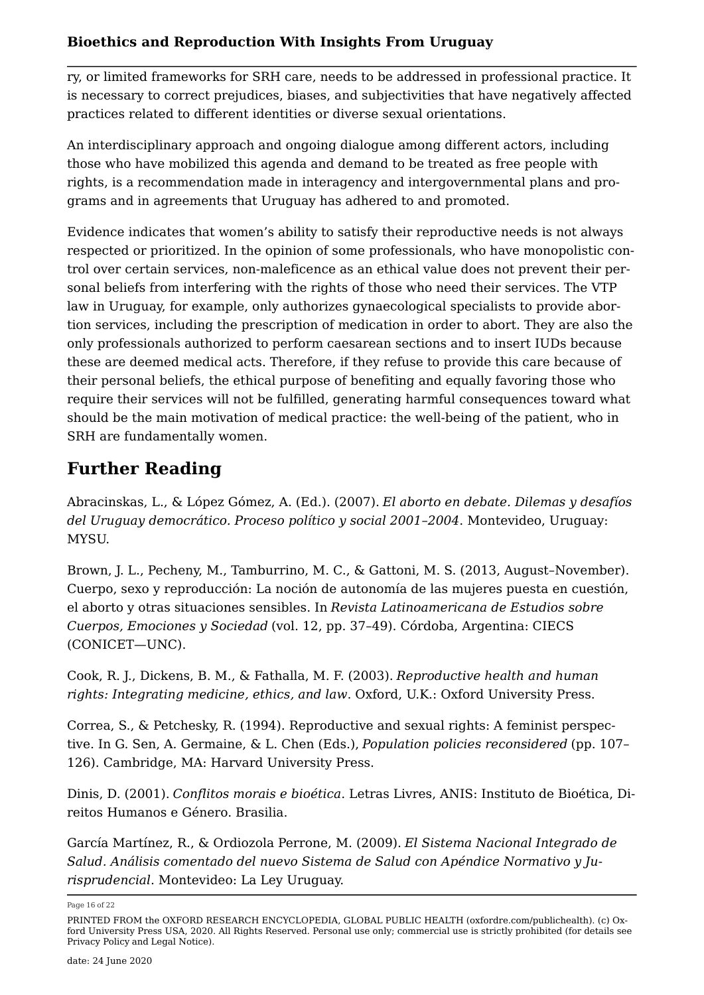ry, or limited frameworks for SRH care, needs to be addressed in professional practice. It is necessary to correct prejudices, biases, and subjectivities that have negatively affected practices related to different identities or diverse sexual orientations.

An interdisciplinary approach and ongoing dialogue among different actors, including those who have mobilized this agenda and demand to be treated as free people with rights, is a recommendation made in interagency and intergovernmental plans and programs and in agreements that Uruguay has adhered to and promoted.

Evidence indicates that women's ability to satisfy their reproductive needs is not always respected or prioritized. In the opinion of some professionals, who have monopolistic control over certain services, non-maleficence as an ethical value does not prevent their personal beliefs from interfering with the rights of those who need their services. The VTP law in Uruguay, for example, only authorizes gynaecological specialists to provide abortion services, including the prescription of medication in order to abort. They are also the only professionals authorized to perform caesarean sections and to insert IUDs because these are deemed medical acts. Therefore, if they refuse to provide this care because of their personal beliefs, the ethical purpose of benefiting and equally favoring those who require their services will not be fulfilled, generating harmful consequences toward what should be the main motivation of medical practice: the well-being of the patient, who in SRH are fundamentally women.

### **Further Reading**

Abracinskas, L., & López Gómez, A. (Ed.). (2007). *El aborto en debate. Dilemas y desafíos del Uruguay democrático. Proceso político y social 2001–2004*. Montevideo, Uruguay: MYSU.

<span id="page-15-0"></span>Brown, J. L., Pecheny, M., Tamburrino, M. C., & Gattoni, M. S. (2013, August–November). Cuerpo, sexo y reproducción: La noción de autonomía de las mujeres puesta en cuestión, el aborto y otras situaciones sensibles. In *Revista Latinoamericana de Estudios sobre Cuerpos, Emociones y Sociedad* (vol. 12, pp. 37–49). Córdoba, Argentina: CIECS (CONICET—UNC).

Cook, R. J., Dickens, B. M., & Fathalla, M. F. (2003). *Reproductive health and human rights: Integrating medicine, ethics, and law*. Oxford, U.K.: Oxford University Press.

Correa, S., & Petchesky, R. (1994). Reproductive and sexual rights: A feminist perspective. In G. Sen, A. Germaine, & L. Chen (Eds.), *Population policies reconsidered* (pp. 107– 126). Cambridge, MA: Harvard University Press.

<span id="page-15-1"></span>Dinis, D. (2001). *Conflitos morais e bioética*. Letras Livres, ANIS: Instituto de Bioética, Direitos Humanos e Género. Brasilia.

García Martínez, R., & Ordiozola Perrone, M. (2009). *El Sistema Nacional Integrado de Salud. Análisis comentado del nuevo Sistema de Salud con Apéndice Normativo y Jurisprudencial*. Montevideo: La Ley Uruguay.

Page 16 of 22

PRINTED FROM the OXFORD RESEARCH ENCYCLOPEDIA, GLOBAL PUBLIC HEALTH (oxfordre.com/publichealth). (c) Oxford University Press USA, 2020. All Rights Reserved. Personal use only; commercial use is strictly prohibited (for details see [Privacy Policy](https://global.oup.com/privacy) and [Legal Notice](https://oxfordre.com/page/legal-notice)).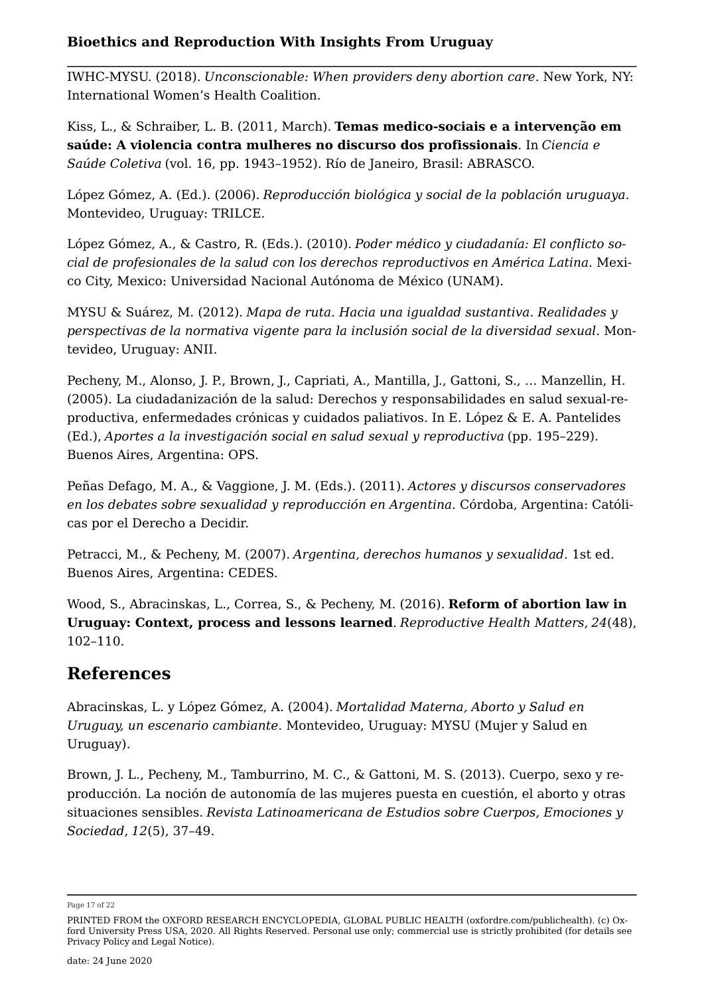<span id="page-16-1"></span>IWHC-MYSU. (2018). *Unconscionable: When providers deny abortion care*. New York, NY: International Women's Health Coalition.

<span id="page-16-3"></span>Kiss, L., & Schraiber, L. B. (2011, March). **[Temas medico-sociais e a intervenção em](http://dx.doi.org/10.1590/S1413-81232011000300028)  [saúde: A violencia contra mulheres no discurso dos profissionais](http://dx.doi.org/10.1590/S1413-81232011000300028)**. In *Ciencia e Saúde Coletiva* (vol. 16, pp. 1943–1952). Río de Janeiro, Brasil: ABRASCO.

López Gómez, A. (Ed.). (2006). *Reproducción biológica y social de la población uruguaya*. Montevideo, Uruguay: TRILCE.

López Gómez, A., & Castro, R. (Eds.). (2010). *Poder médico y ciudadanía: El conflicto social de profesionales de la salud con los derechos reproductivos en América Latina*. Mexico City, Mexico: Universidad Nacional Autónoma de México (UNAM).

MYSU & Suárez, M. (2012). *Mapa de ruta. Hacia una igualdad sustantiva. Realidades y perspectivas de la normativa vigente para la inclusión social de la diversidad sexual*. Montevideo, Uruguay: ANII.

<span id="page-16-4"></span>Pecheny, M., Alonso, J. P., Brown, J., Capriati, A., Mantilla, J., Gattoni, S., … Manzellin, H. (2005). La ciudadanización de la salud: Derechos y responsabilidades en salud sexual-reproductiva, enfermedades crónicas y cuidados paliativos. In E. López & E. A. Pantelides (Ed.), *Aportes a la investigación social en salud sexual y reproductiva* (pp. 195–229). Buenos Aires, Argentina: OPS.

Peñas Defago, M. A., & Vaggione, J. M. (Eds.). (2011). *Actores y discursos conservadores en los debates sobre sexualidad y reproducción en Argentina*. Córdoba, Argentina: Católicas por el Derecho a Decidir.

Petracci, M., & Pecheny, M. (2007). *Argentina, derechos humanos y sexualidad*. 1st ed. Buenos Aires, Argentina: CEDES.

<span id="page-16-0"></span>Wood, S., Abracinskas, L., Correa, S., & Pecheny, M. (2016). **[Reform of abortion law in](http://dx.doi.org/10.1016/j.rhm.2016.11.006) [Uruguay: Context, process and lessons learned](http://dx.doi.org/10.1016/j.rhm.2016.11.006)**. *Reproductive Health Matters*, *24*(48), 102–110.

### **References**

<span id="page-16-2"></span>Abracinskas, L. y López Gómez, A. (2004). *Mortalidad Materna, Aborto y Salud en Uruguay, un escenario cambiante*. Montevideo, Uruguay: MYSU (Mujer y Salud en Uruguay).

Brown, J. L., Pecheny, M., Tamburrino, M. C., & Gattoni, M. S. (2013). Cuerpo, sexo y reproducción. La noción de autonomía de las mujeres puesta en cuestión, el aborto y otras situaciones sensibles. *Revista Latinoamericana de Estudios sobre Cuerpos, Emociones y Sociedad*, *12*(5), 37–49.

Page 17 of 22

PRINTED FROM the OXFORD RESEARCH ENCYCLOPEDIA, GLOBAL PUBLIC HEALTH (oxfordre.com/publichealth). (c) Oxford University Press USA, 2020. All Rights Reserved. Personal use only; commercial use is strictly prohibited (for details see [Privacy Policy](https://global.oup.com/privacy) and [Legal Notice](https://oxfordre.com/page/legal-notice)).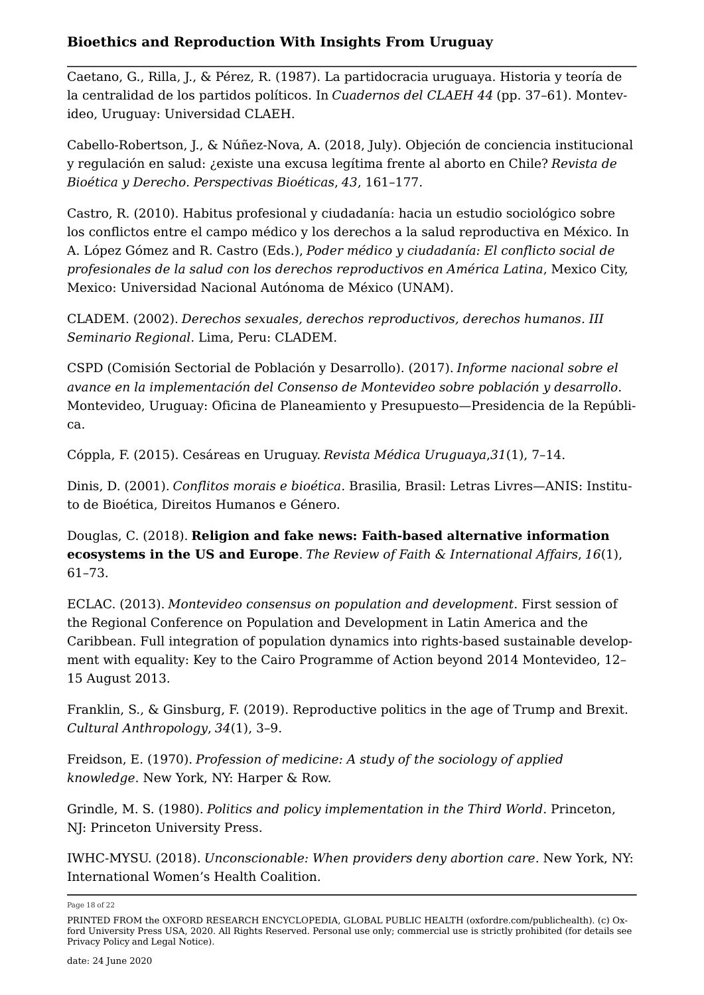<span id="page-17-1"></span>Caetano, G., Rilla, J., & Pérez, R. (1987). La partidocracia uruguaya. Historia y teoría de la centralidad de los partidos políticos. In *Cuadernos del CLAEH 44* (pp. 37–61). Montevideo, Uruguay: Universidad CLAEH.

<span id="page-17-5"></span>Cabello-Robertson, J., & Núñez-Nova, A. (2018, July). Objeción de conciencia institucional y regulación en salud: ¿existe una excusa legítima frente al aborto en Chile? *Revista de Bioética y Derecho. Perspectivas Bioéticas*, *43*, 161–177.

<span id="page-17-10"></span>Castro, R. (2010). Habitus profesional y ciudadanía: hacia un estudio sociológico sobre los conflictos entre el campo médico y los derechos a la salud reproductiva en México. In A. López Gómez and R. Castro (Eds.), *Poder médico y ciudadanía: El conflicto social de profesionales de la salud con los derechos reproductivos en América Latina*, Mexico City, Mexico: Universidad Nacional Autónoma de México (UNAM).

<span id="page-17-6"></span>CLADEM. (2002). *Derechos sexuales, derechos reproductivos, derechos humanos. III Seminario Regional*. Lima, Peru: CLADEM.

<span id="page-17-3"></span>CSPD (Comisión Sectorial de Población y Desarrollo). (2017). *Informe nacional sobre el avance en la implementación del Consenso de Montevideo sobre población y desarrollo*. Montevideo, Uruguay: Oficina de Planeamiento y Presupuesto—Presidencia de la República.

<span id="page-17-4"></span>Cóppla, F. (2015). Cesáreas en Uruguay. *Revista Médica Uruguaya*,*31*(1), 7–14.

Dinis, D. (2001). *Conflitos morais e bioética*. Brasilia, Brasil: Letras Livres—ANIS: Instituto de Bioética, Direitos Humanos e Género.

<span id="page-17-7"></span>Douglas, C. (2018). **[Religion and fake news: Faith-based alternative information](http://dx.doi.org/10.1080/15570274.2018.1433522)  [ecosystems in the US and Europe](http://dx.doi.org/10.1080/15570274.2018.1433522)**. *The Review of Faith & International Affairs*, *16*(1), 61–73.

<span id="page-17-0"></span>ECLAC. (2013). *Montevideo consensus on population and development*. First session of the Regional Conference on Population and Development in Latin America and the Caribbean. Full integration of population dynamics into rights-based sustainable development with equality: Key to the Cairo Programme of Action beyond 2014 Montevideo, 12– 15 August 2013.

<span id="page-17-8"></span>Franklin, S., & Ginsburg, F. (2019). Reproductive politics in the age of Trump and Brexit. *Cultural Anthropology*, *34*(1), 3–9.

<span id="page-17-9"></span>Freidson, E. (1970). *Profession of medicine: A study of the sociology of applied knowledge*. New York, NY: Harper & Row.

<span id="page-17-2"></span>Grindle, M. S. (1980). *Politics and policy implementation in the Third World*. Princeton, NJ: Princeton University Press.

IWHC-MYSU. (2018). *Unconscionable: When providers deny abortion care*. New York, NY: International Women's Health Coalition.

Page 18 of 22

PRINTED FROM the OXFORD RESEARCH ENCYCLOPEDIA, GLOBAL PUBLIC HEALTH (oxfordre.com/publichealth). (c) Oxford University Press USA, 2020. All Rights Reserved. Personal use only; commercial use is strictly prohibited (for details see [Privacy Policy](https://global.oup.com/privacy) and [Legal Notice](https://oxfordre.com/page/legal-notice)).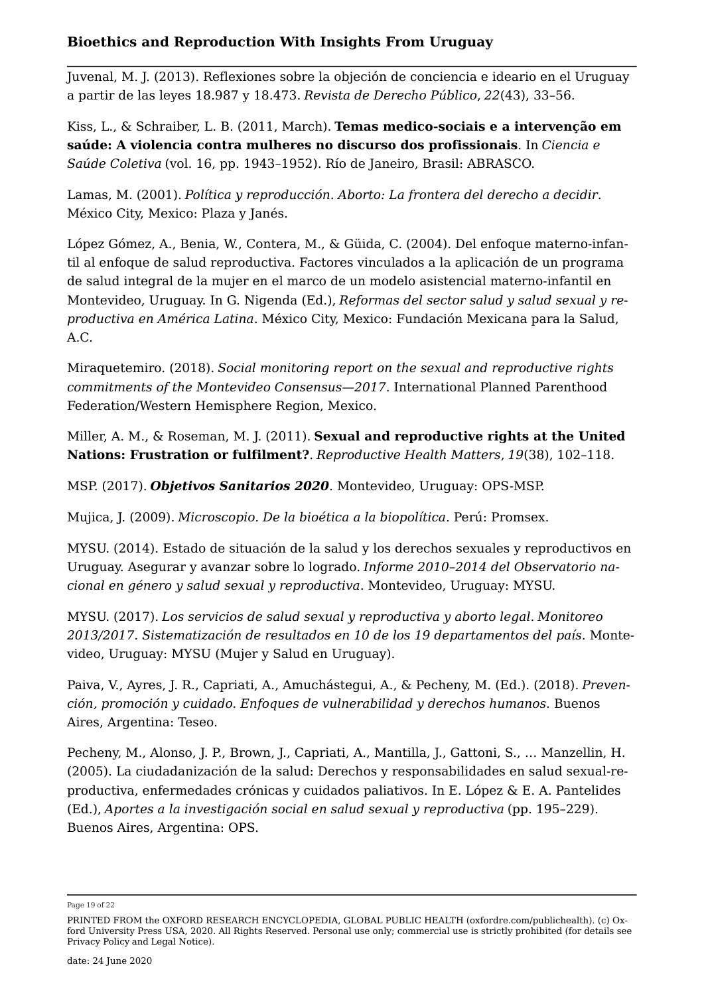<span id="page-18-4"></span>Juvenal, M. J. (2013). Reflexiones sobre la objeción de conciencia e ideario en el Uruguay a partir de las leyes 18.987 y 18.473. *Revista de Derecho Público*, *22*(43), 33–56.

Kiss, L., & Schraiber, L. B. (2011, March). **[Temas medico-sociais e a intervenção em](http://dx.doi.org/10.1590/S1413-81232011000300028)  [saúde: A violencia contra mulheres no discurso dos profissionais](http://dx.doi.org/10.1590/S1413-81232011000300028)**. In *Ciencia e Saúde Coletiva* (vol. 16, pp. 1943–1952). Río de Janeiro, Brasil: ABRASCO.

<span id="page-18-9"></span>Lamas, M. (2001). *Política y reproducción. Aborto: La frontera del derecho a decidir*. México City, Mexico: Plaza y Janés.

<span id="page-18-5"></span>López Gómez, A., Benia, W., Contera, M., & Güida, C. (2004). Del enfoque materno-infantil al enfoque de salud reproductiva. Factores vinculados a la aplicación de un programa de salud integral de la mujer en el marco de un modelo asistencial materno-infantil en Montevideo, Uruguay. In G. Nigenda (Ed.), *Reformas del sector salud y salud sexual y reproductiva en América Latina*. México City, Mexico: Fundación Mexicana para la Salud, A.C.

<span id="page-18-2"></span>Miraquetemiro. (2018). *Social monitoring report on the sexual and reproductive rights commitments of the Montevideo Consensus—2017*. International Planned Parenthood Federation/Western Hemisphere Region, Mexico.

<span id="page-18-7"></span>Miller, A. M., & Roseman, M. J. (2011). **[Sexual and reproductive rights at the United](http://dx.doi.org/10.1016/S0968-8080(11)38585-0)  [Nations: Frustration or fulfilment?](http://dx.doi.org/10.1016/S0968-8080(11)38585-0)**. *Reproductive Health Matters*, *19*(38), 102–118.

<span id="page-18-3"></span>MSP. (2017). *[Objetivos Sanitarios 2020](https://www.paho.org/uru/index.php?option=com:docman&view=download&alias=475-osn-librillo-objetivos-nacionales&category_slug=publications&Itemid=307)*. Montevideo, Uruguay: OPS-MSP.

<span id="page-18-8"></span>Mujica, J. (2009). *Microscopio. De la bioética a la biopolítica*. Perú: Promsex.

<span id="page-18-0"></span>MYSU. (2014). Estado de situación de la salud y los derechos sexuales y reproductivos en Uruguay. Asegurar y avanzar sobre lo logrado. *Informe 2010–2014 del Observatorio nacional en género y salud sexual y reproductiva*. Montevideo, Uruguay: MYSU.

<span id="page-18-1"></span>MYSU. (2017). *Los servicios de salud sexual y reproductiva y aborto legal*. *Monitoreo 2013/2017. Sistematización de resultados en 10 de los 19 departamentos del país*. Montevideo, Uruguay: MYSU (Mujer y Salud en Uruguay).

<span id="page-18-6"></span>Paiva, V., Ayres, J. R., Capriati, A., Amuchástegui, A., & Pecheny, M. (Ed.). (2018). *Prevención, promoción y cuidado. Enfoques de vulnerabilidad y derechos humanos*. Buenos Aires, Argentina: Teseo.

Pecheny, M., Alonso, J. P., Brown, J., Capriati, A., Mantilla, J., Gattoni, S., … Manzellin, H. (2005). La ciudadanización de la salud: Derechos y responsabilidades en salud sexual-reproductiva, enfermedades crónicas y cuidados paliativos. In E. López & E. A. Pantelides (Ed.), *Aportes a la investigación social en salud sexual y reproductiva* (pp. 195–229). Buenos Aires, Argentina: OPS.

Page 19 of 22

PRINTED FROM the OXFORD RESEARCH ENCYCLOPEDIA, GLOBAL PUBLIC HEALTH (oxfordre.com/publichealth). (c) Oxford University Press USA, 2020. All Rights Reserved. Personal use only; commercial use is strictly prohibited (for details see [Privacy Policy](https://global.oup.com/privacy) and [Legal Notice](https://oxfordre.com/page/legal-notice)).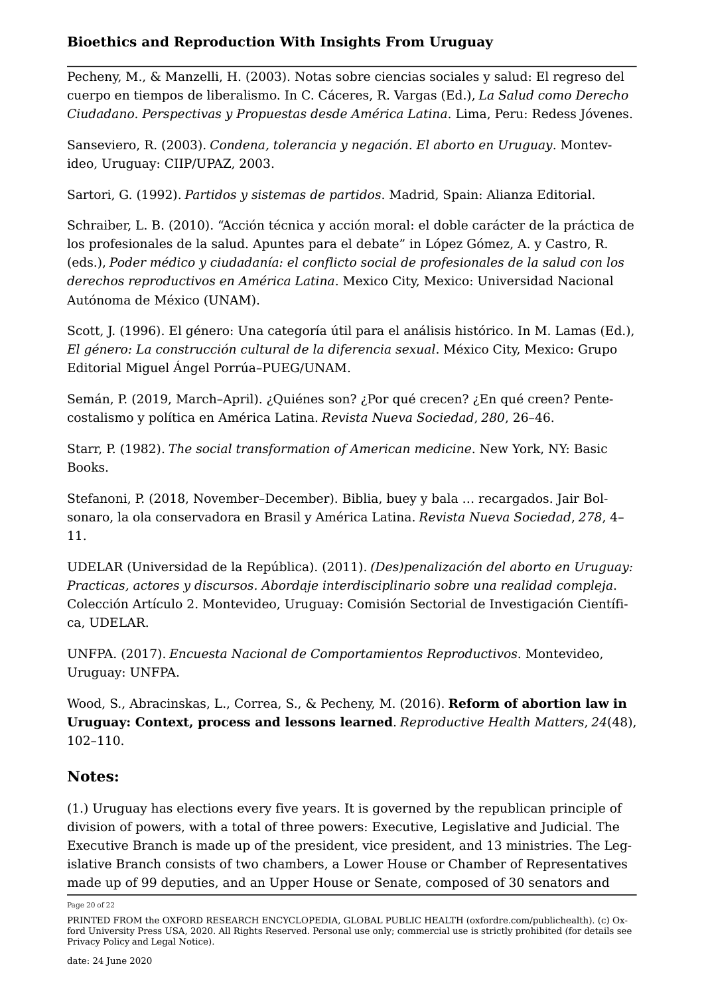<span id="page-19-3"></span>Pecheny, M., & Manzelli, H. (2003). Notas sobre ciencias sociales y salud: El regreso del cuerpo en tiempos de liberalismo. In C. Cáceres, R. Vargas (Ed.), *La Salud como Derecho Ciudadano. Perspectivas y Propuestas desde América Latina*. Lima, Peru: Redess Jóvenes.

<span id="page-19-2"></span>Sanseviero, R. (2003). *Condena, tolerancia y negación. El aborto en Uruguay*. Montevideo, Uruguay: CIIP/UPAZ, 2003.

<span id="page-19-1"></span>Sartori, G. (1992). *Partidos y sistemas de partidos*. Madrid, Spain: Alianza Editorial.

<span id="page-19-7"></span>Schraiber, L. B. (2010). "Acción técnica y acción moral: el doble carácter de la práctica de los profesionales de la salud. Apuntes para el debate" in López Gómez, A. y Castro, R. (eds.), *Poder médico y ciudadanía: el conflicto social de profesionales de la salud con los derechos reproductivos en América Latina*. Mexico City, Mexico: Universidad Nacional Autónoma de México (UNAM).

<span id="page-19-9"></span>Scott, J. (1996). El género: Una categoría útil para el análisis histórico. In M. Lamas (Ed.), *El género: La construcción cultural de la diferencia sexual*. México City, Mexico: Grupo Editorial Miguel Ángel Porrúa–PUEG/UNAM.

<span id="page-19-5"></span>Semán, P. (2019, March–April). ¿Quiénes son? ¿Por qué crecen? ¿En qué creen? Pentecostalismo y política en América Latina. *Revista Nueva Sociedad*, *280*, 26–46.

<span id="page-19-8"></span>Starr, P. (1982). *The social transformation of American medicine*. New York, NY: Basic Books.

<span id="page-19-4"></span>Stefanoni, P. (2018, November–December). Biblia, buey y bala … recargados. Jair Bolsonaro, la ola conservadora en Brasil y América Latina. *Revista Nueva Sociedad*, *278*, 4– 11.

<span id="page-19-6"></span>UDELAR (Universidad de la República). (2011). *(Des)penalización del aborto en Uruguay: Practicas, actores y discursos. Abordaje interdisciplinario sobre una realidad compleja*. Colección Artículo 2. Montevideo, Uruguay: Comisión Sectorial de Investigación Científica, UDELAR.

UNFPA. (2017). *Encuesta Nacional de Comportamientos Reproductivos*. Montevideo, Uruguay: UNFPA.

Wood, S., Abracinskas, L., Correa, S., & Pecheny, M. (2016). **[Reform of abortion law in](http://dx.doi.org/10.1016/j.rhm.2016.11.006) [Uruguay: Context, process and lessons learned](http://dx.doi.org/10.1016/j.rhm.2016.11.006)**. *Reproductive Health Matters*, *24*(48), 102–110.

### **Notes:**

<span id="page-19-0"></span>([1.\)](#page-1-0) Uruguay has elections every five years. It is governed by the republican principle of division of powers, with a total of three powers: Executive, Legislative and Judicial. The Executive Branch is made up of the president, vice president, and 13 ministries. The Legislative Branch consists of two chambers, a Lower House or Chamber of Representatives made up of 99 deputies, and an Upper House or Senate, composed of 30 senators and

Page 20 of 22

PRINTED FROM the OXFORD RESEARCH ENCYCLOPEDIA, GLOBAL PUBLIC HEALTH (oxfordre.com/publichealth). (c) Oxford University Press USA, 2020. All Rights Reserved. Personal use only; commercial use is strictly prohibited (for details see [Privacy Policy](https://global.oup.com/privacy) and [Legal Notice](https://oxfordre.com/page/legal-notice)).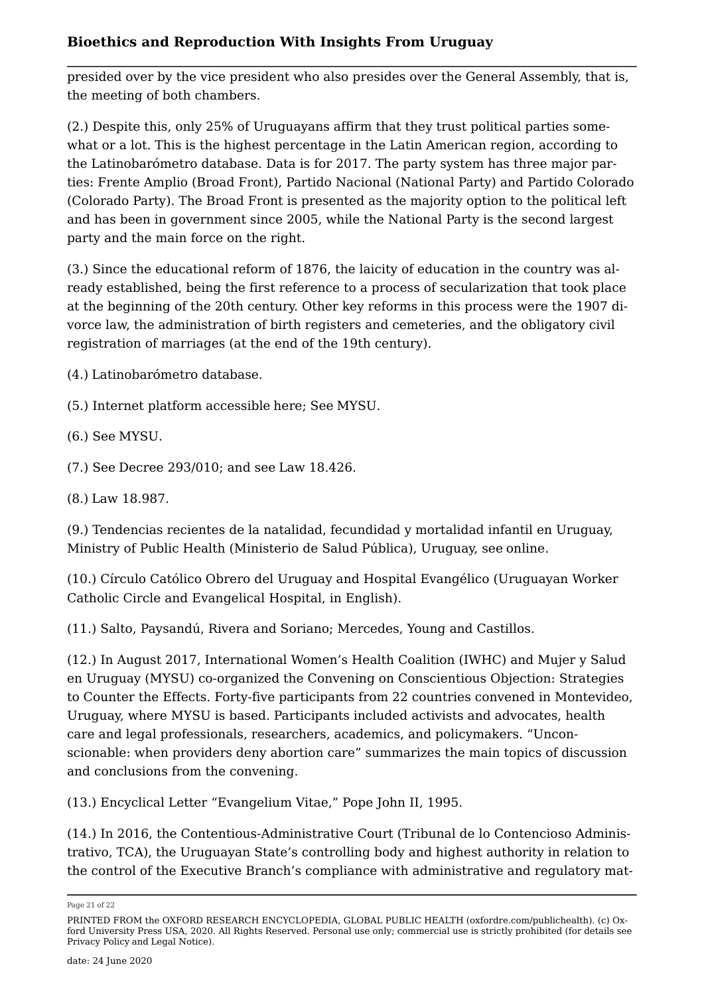presided over by the vice president who also presides over the General Assembly, that is, the meeting of both chambers.

<span id="page-20-0"></span>([2.](#page-1-1)) Despite this, only 25% of Uruguayans affirm that they trust political parties somewhat or a lot. This is the highest percentage in the Latin American region, according to the Latinobarómetro database. Data is for 2017. The party system has three major parties: Frente Amplio (Broad Front), Partido Nacional (National Party) and Partido Colorado (Colorado Party). The Broad Front is presented as the majority option to the political left and has been in government since 2005, while the National Party is the second largest party and the main force on the right.

<span id="page-20-1"></span>([3.](#page-1-2)) Since the educational reform of 1876, the laicity of education in the country was already established, being the first reference to a process of secularization that took place at the beginning of the 20th century. Other key reforms in this process were the 1907 divorce law, the administration of birth registers and cemeteries, and the obligatory civil registration of marriages (at the end of the 19th century).

<span id="page-20-2"></span>([4.\)](#page-1-3) [Latinobarómetro database.](http://www.latinobarometro.org/lat.jsp)

- <span id="page-20-3"></span>([5.\)](#page-1-4) Internet platform accessible [here;](https://miraquetemiro.org/en/) See [MYSU.](http://www.mysu.org.uy/que-hacemos/observatorio/)
- <span id="page-20-4"></span>([6.\)](#page-3-0) See [MYSU](http://www.mysu.org.uy/que-hacemos/observatorio/).
- <span id="page-20-5"></span>([7.\)](#page-4-0) See [Decree 293/010](https://www.impo.com.uy/bases/leyes/18426-2008); and see [Law 18.426](https://www.impo.com.uy/bases/decretos/293-2010).
- <span id="page-20-6"></span>([8.\)](#page-4-1) [Law 18.987.](https://www.impo.com.uy/bases/leyes/18987-2012)

<span id="page-20-7"></span>([9.\)](#page-4-2) Tendencias recientes de la natalidad, fecundidad y mortalidad infantil en Uruguay, Ministry of Public Health (Ministerio de Salud Pública), Uruguay, see [online.](https://www.gub.uy/ministerio-salud-publica/comunicacion/noticias/uruguay-mantiene-baja-mortalidad-infantil-con-11-fallecimientos-menos-en-2018)

<span id="page-20-8"></span>([10.](#page-5-0)) Círculo Católico Obrero del Uruguay and Hospital Evangélico (Uruguayan Worker Catholic Circle and Evangelical Hospital, in English).

<span id="page-20-9"></span>([11.](#page-5-1)) Salto, Paysandú, Rivera and Soriano; Mercedes, Young and Castillos.

<span id="page-20-10"></span>([12.](#page-10-0)) In August 2017, International Women's Health Coalition (IWHC) and Mujer y Salud en Uruguay (MYSU) co-organized the Convening on Conscientious Objection: Strategies to Counter the Effects. Forty-five participants from 22 countries convened in Montevideo, Uruguay, where MYSU is based. Participants included activists and advocates, health care and legal professionals, researchers, academics, and policymakers. "Unconscionable: when providers deny abortion care" summarizes the main topics of discussion and conclusions from the convening.

<span id="page-20-11"></span>([13.](#page-11-0)) Encyclical Letter "Evangelium Vitae," Pope John II, 1995.

<span id="page-20-12"></span>([14.](#page-11-1)) In 2016, the Contentious-Administrative Court (Tribunal de lo Contencioso Administrativo, TCA), the Uruguayan State's controlling body and highest authority in relation to the control of the Executive Branch's compliance with administrative and regulatory mat

Page 21 of 22

PRINTED FROM the OXFORD RESEARCH ENCYCLOPEDIA, GLOBAL PUBLIC HEALTH (oxfordre.com/publichealth). (c) Oxford University Press USA, 2020. All Rights Reserved. Personal use only; commercial use is strictly prohibited (for details see [Privacy Policy](https://global.oup.com/privacy) and [Legal Notice](https://oxfordre.com/page/legal-notice)).